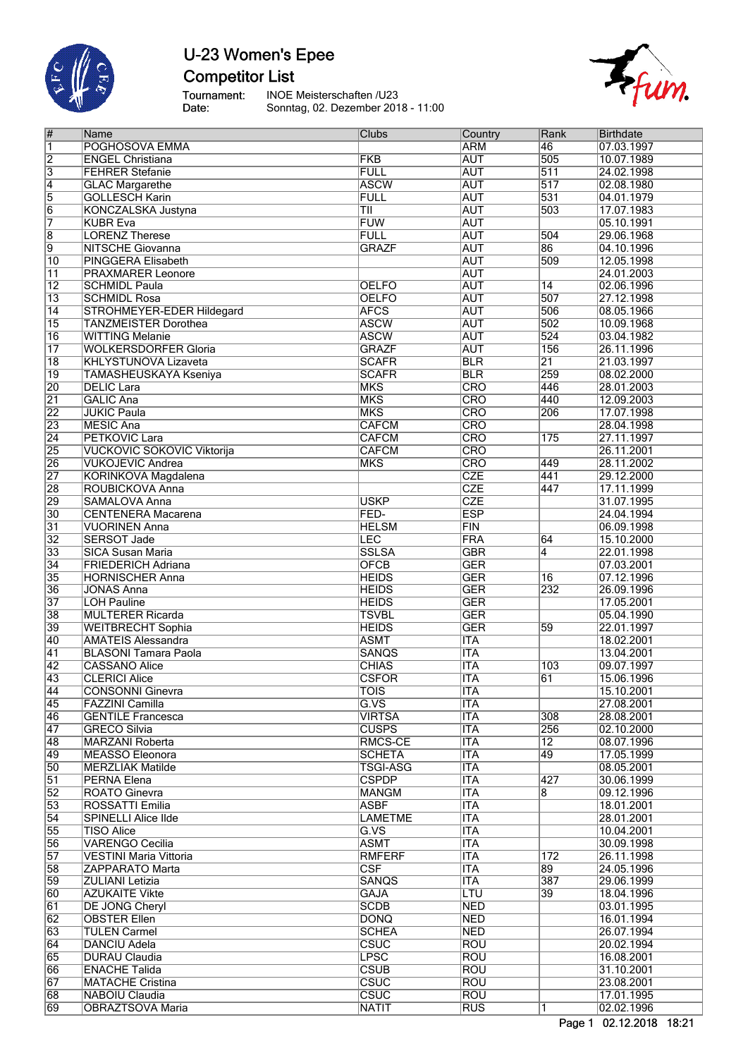

## U-23 Women's Epee **Competitor List**

Tournament:<br>Date: INOE Meisterschaften /U23 Sonntag, 02. Dezember 2018 - 11:00

| #               | Name                              | Clubs                    | Country                   | Rank             | Birthdate  |
|-----------------|-----------------------------------|--------------------------|---------------------------|------------------|------------|
| 1               | POGHOSOVA EMMA                    |                          | <b>ARM</b>                | 46               | 07.03.1997 |
| $\overline{2}$  | <b>ENGEL Christiana</b>           | <b>FKB</b>               | <b>AUT</b>                | 505              | 10.07.1989 |
| $\overline{3}$  | <b>FEHRER Stefanie</b>            | <b>FULL</b>              | <b>AUT</b>                | $\overline{511}$ | 24.02.1998 |
| 4               | <b>GLAC Margarethe</b>            | <b>ASCW</b>              | <b>AUT</b>                | 517              | 02.08.1980 |
| 5               | <b>GOLLESCH Karin</b>             | <b>FULL</b>              | <b>AUT</b>                | 531              | 04.01.1979 |
|                 | <b>KONCZALSKA Justyna</b>         |                          | <b>AUT</b>                | 503              | 17.07.1983 |
| $\overline{6}$  |                                   | TII                      |                           |                  |            |
| 7               | <b>KUBR Eva</b>                   | <b>FUW</b>               | <b>AUT</b>                |                  | 05.10.1991 |
| 8               | <b>LORENZ Therese</b>             | <b>FULL</b>              | <b>AUT</b>                | 504              | 29.06.1968 |
| $\overline{9}$  | <b>NITSCHE Giovanna</b>           | <b>GRAZF</b>             | <b>AUT</b>                | 86               | 04.10.1996 |
| $\overline{10}$ | PINGGERA Elisabeth                |                          | <b>AUT</b>                | 509              | 12.05.1998 |
| $\overline{11}$ | <b>PRAXMARER Leonore</b>          |                          | <b>AUT</b>                |                  | 24.01.2003 |
| $\overline{12}$ | <b>SCHMIDL Paula</b>              | <b>OELFO</b>             | <b>AUT</b>                | $\overline{14}$  | 02.06.1996 |
| $\overline{13}$ | <b>SCHMIDL Rosa</b>               | <b>OELFO</b>             | <b>AUT</b>                | 507              | 27.12.1998 |
| $\overline{14}$ | STROHMEYER-EDER Hildegard         | <b>AFCS</b>              | <b>AUT</b>                | 506              | 08.05.1966 |
| $\overline{15}$ | <b>TANZMEISTER Dorothea</b>       | <b>ASCW</b>              | <b>AUT</b>                | 502              | 10.09.1968 |
|                 |                                   | <b>ASCW</b>              |                           | 524              |            |
| $\overline{16}$ | <b>WITTING Melanie</b>            |                          | <b>AUT</b>                |                  | 03.04.1982 |
| $\overline{17}$ | <b>WOLKERSDORFER Gloria</b>       | <b>GRAZF</b>             | <b>AUT</b>                | 156              | 26.11.1996 |
| $\overline{18}$ | <b>KHLYSTUNOVA Lizaveta</b>       | <b>SCAFR</b>             | <b>BLR</b>                | $\overline{21}$  | 21.03.1997 |
| $\overline{19}$ | <b>TAMASHEUSKAYA Kseniya</b>      | <b>SCAFR</b>             | <b>BLR</b>                | 259              | 08.02.2000 |
| $\overline{20}$ | <b>DELIC Lara</b>                 | <b>MKS</b>               | <b>CRO</b>                | 446              | 28.01.2003 |
| $\overline{21}$ | <b>GALIC Ana</b>                  | <b>MKS</b>               | <b>CRO</b>                | 440              | 12.09.2003 |
| $\overline{22}$ | <b>JUKIC Paula</b>                | <b>MKS</b>               | <b>CRO</b>                | 206              | 17.07.1998 |
| $\overline{23}$ | <b>MESIC Ana</b>                  | <b>CAFCM</b>             | <b>CRO</b>                |                  | 28.04.1998 |
| $\overline{24}$ | <b>PETKOVIC Lara</b>              | <b>CAFCM</b>             | CRO                       | 175              | 27.11.1997 |
| $\overline{25}$ | <b>VUCKOVIC SOKOVIC Viktorija</b> | <b>CAFCM</b>             | CRO                       |                  | 26.11.2001 |
|                 |                                   |                          |                           |                  |            |
| $\overline{26}$ | <b>VUKOJEVIC Andrea</b>           | <b>MKS</b>               | <b>CRO</b>                | 449              | 28.11.2002 |
| 27              | KORINKOVA Magdalena               |                          | <b>CZE</b>                | 441              | 29.12.2000 |
| $\overline{28}$ | ROUBICKOVA Anna                   |                          | <b>CZE</b>                | 447              | 17.11.1999 |
| 29              | <b>SAMALOVA Anna</b>              | <b>USKP</b>              | CZE                       |                  | 31.07.1995 |
| $\overline{30}$ | <b>CENTENERA Macarena</b>         | FED-                     | <b>ESP</b>                |                  | 24.04.1994 |
| $\overline{31}$ | <b>VUORINEN Anna</b>              | <b>HELSM</b>             | FIN                       |                  | 06.09.1998 |
| $\overline{32}$ | SERSOT Jade                       | LEC                      | <b>FRA</b>                | 64               | 15.10.2000 |
| $\overline{33}$ | <b>SICA Susan Maria</b>           | <b>SSLSA</b>             | <b>GBR</b>                | $\overline{4}$   | 22.01.1998 |
| 34              | <b>FRIEDERICH Adriana</b>         | <b>OFCB</b>              | <b>GER</b>                |                  | 07.03.2001 |
| $\overline{35}$ |                                   | <b>HEIDS</b>             |                           | $\overline{16}$  | 07.12.1996 |
|                 | <b>HORNISCHER Anna</b>            |                          | <b>GER</b>                |                  |            |
| 36              | <b>JONAS Anna</b>                 | <b>HEIDS</b>             | <b>GER</b>                | 232              | 26.09.1996 |
| 37              | <b>LOH Pauline</b>                | <b>HEIDS</b>             | <b>GER</b>                |                  | 17.05.2001 |
| $\overline{38}$ | <b>MULTERER Ricarda</b>           | <b>TSVBL</b>             | <b>GER</b>                |                  | 05.04.1990 |
| 39              | <b>WEITBRECHT Sophia</b>          | <b>HEIDS</b>             | <b>GER</b>                | 59               | 22.01.1997 |
| 40              | <b>AMATEIS Alessandra</b>         | <b>ASMT</b>              | <b>ITA</b>                |                  | 18.02.2001 |
| 41              | <b>BLASONI Tamara Paola</b>       | <b>SANQS</b>             | <b>ITA</b>                |                  | 13.04.2001 |
| 42              | <b>CASSANO Alice</b>              | <b>CHIAS</b>             | <b>ITA</b>                | 103              | 09.07.1997 |
| 43              | <b>CLERICI Alice</b>              | <b>CSFOR</b>             | <b>ITA</b>                | 61               | 15.06.1996 |
| 44              | CONSONNI Ginevra                  | $\overline{\text{TOIS}}$ | <b>ITA</b>                |                  | 15.10.2001 |
| 45              | FAZZINI Camilla                   | G.VS                     | ITA                       |                  | 27.08.2001 |
|                 |                                   |                          |                           |                  |            |
| 46              | <b>GENTILE Francesca</b>          | <b>VIRTSA</b>            | <b>ITA</b>                | 308              | 28.08.2001 |
| 47              | <b>GRECO Silvia</b>               | <b>CUSPS</b>             | $\overline{\mathsf{ITA}}$ | 256              | 02.10.2000 |
| 48              | <b>MARZANI Roberta</b>            | RMCS-CE                  | <b>ITA</b>                | $\overline{12}$  | 08.07.1996 |
| 49              | <b>MEASSO Eleonora</b>            | <b>SCHETA</b>            | $\overline{\mathsf{ITA}}$ | 49               | 17.05.1999 |
| $\overline{50}$ | <b>MERZLIAK Matilde</b>           | <b>TSGI-ASG</b>          | <b>ITA</b>                |                  | 08.05.2001 |
| $\overline{51}$ | PERNA Elena                       | <b>CSPDP</b>             | <b>ITA</b>                | 427              | 30.06.1999 |
| $\overline{52}$ | <b>ROATO Ginevra</b>              | <b>MANGM</b>             | <b>ITA</b>                | 8                | 09.12.1996 |
| $\overline{53}$ | ROSSATTI Emilia                   | <b>ASBF</b>              | <b>ITA</b>                |                  | 18.01.2001 |
| $\overline{54}$ | <b>SPINELLI Alice Ilde</b>        | <b>LAMETME</b>           | <b>ITA</b>                |                  | 28.01.2001 |
| 55              | <b>TISO Alice</b>                 | G.VS                     | <b>ITA</b>                |                  | 10.04.2001 |
|                 |                                   |                          |                           |                  |            |
| 56              | <b>VARENGO Cecilia</b>            | <b>ASMT</b>              | $\overline{\mathsf{ITA}}$ |                  | 30.09.1998 |
| $\overline{57}$ | <b>VESTINI Maria Vittoria</b>     | <b>RMFERF</b>            | $\overline{\text{ITA}}$   | 172              | 26.11.1998 |
| 58              | <b>ZAPPARATO Marta</b>            | <b>CSF</b>               | $\overline{\mathsf{ITA}}$ | 89               | 24.05.1996 |
| 59              | <b>ZULIANI Letizia</b>            | <b>SANQS</b>             | <b>ITA</b>                | 387              | 29.06.1999 |
| $60\,$          | <b>AZUKAITE Vikte</b>             | <b>GAJA</b>              | <b>LTU</b>                | 39               | 18.04.1996 |
| $\overline{61}$ | <b>DE JONG Cheryl</b>             | <b>SCDB</b>              | <b>NED</b>                |                  | 03.01.1995 |
| 62              | <b>OBSTER Ellen</b>               | <b>DONQ</b>              | <b>NED</b>                |                  | 16.01.1994 |
| 63              | <b>TULEN Carmel</b>               | <b>SCHEA</b>             | <b>NED</b>                |                  | 26.07.1994 |
| 64              | <b>DANCIU Adela</b>               | <b>CSUC</b>              | ROU                       |                  | 20.02.1994 |
| $\overline{65}$ | <b>DURAU Claudia</b>              | <b>LPSC</b>              | ROU                       |                  | 16.08.2001 |
| 66              | <b>ENACHE Talida</b>              | <b>CSUB</b>              | <b>ROU</b>                |                  | 31.10.2001 |
|                 |                                   |                          |                           |                  |            |
| $\overline{67}$ | <b>MATACHE Cristina</b>           | <b>CSUC</b>              | <b>ROU</b>                |                  | 23.08.2001 |

 NABOIU Claudia CSUC ROU 17.01.1995 69 |OBRAZTSOVA Maria |NATIT |RUS |1 |02.02.1996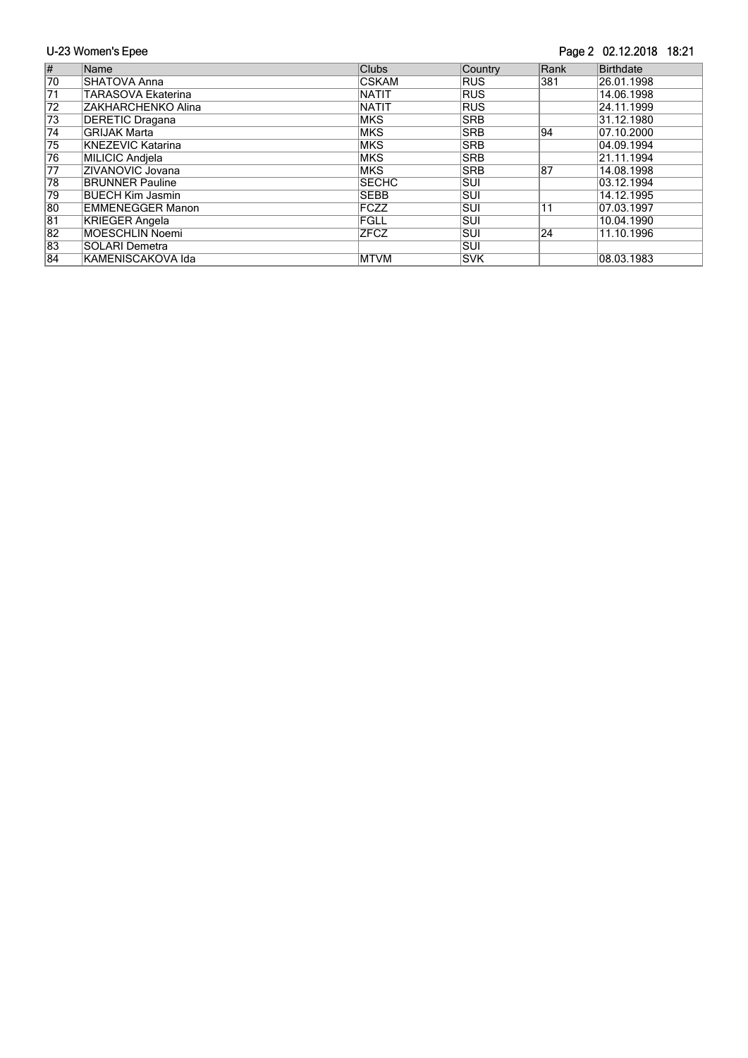#### Page 2 02.12.2018 18:21

| $\overline{\#}$ | Name                     | <b>Clubs</b> | Country    | Rank | Birthdate  |
|-----------------|--------------------------|--------------|------------|------|------------|
| 70              | SHATOVA Anna             | <b>CSKAM</b> | <b>RUS</b> | 381  | 26.01.1998 |
| $\overline{71}$ | TARASOVA Ekaterina       | <b>NATIT</b> | <b>RUS</b> |      | 14.06.1998 |
| $\overline{72}$ | ZAKHARCHENKO Alina       | <b>NATIT</b> | <b>RUS</b> |      | 24.11.1999 |
| 73              | <b>DERETIC Dragana</b>   | <b>MKS</b>   | <b>SRB</b> |      | 31.12.1980 |
| $\overline{74}$ | <b>GRIJAK Marta</b>      | <b>MKS</b>   | <b>SRB</b> | 94   | 07.10.2000 |
| 75              | <b>KNEZEVIC Katarina</b> | <b>MKS</b>   | <b>SRB</b> |      | 04.09.1994 |
| 76              | MILICIC Andiela          | <b>MKS</b>   | <b>SRB</b> |      | 21.11.1994 |
| $\overline{77}$ | ZIVANOVIC Jovana         | <b>MKS</b>   | <b>SRB</b> | 187  | 14.08.1998 |
| 78              | <b>BRUNNER Pauline</b>   | <b>SECHC</b> | <b>SUI</b> |      | 03.12.1994 |
| 79              | <b>BUECH Kim Jasmin</b>  | <b>SEBB</b>  | lsui.      |      | 14.12.1995 |
| 80              | <b>EMMENEGGER Manon</b>  | FCZZ         | ISUI.      | 11   | 07.03.1997 |
| 81              | <b>KRIEGER Angela</b>    | FGLL         | <b>SUI</b> |      | 10.04.1990 |
| 82              | <b>MOESCHLIN Noemi</b>   | <b>ZFCZ</b>  | lsui.      | 24   | 11.10.1996 |
| 83              | <b>SOLARI Demetra</b>    |              | lsui.      |      |            |
| 84              | KAMENISCAKOVA Ida        | <b>MTVM</b>  | <b>SVK</b> |      | 08.03.1983 |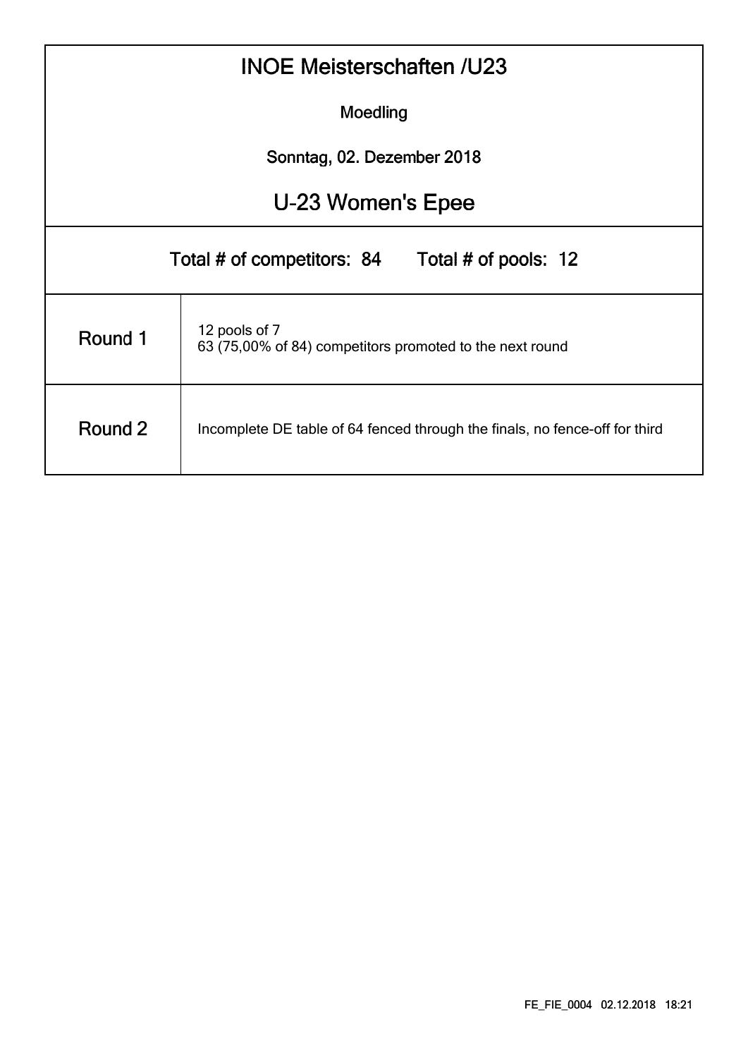|                                                                                        | <b>INOE Meisterschaften /U23</b>                                          |  |  |  |  |  |  |  |  |  |  |  |  |
|----------------------------------------------------------------------------------------|---------------------------------------------------------------------------|--|--|--|--|--|--|--|--|--|--|--|--|
| Moedling                                                                               |                                                                           |  |  |  |  |  |  |  |  |  |  |  |  |
| Sonntag, 02. Dezember 2018                                                             |                                                                           |  |  |  |  |  |  |  |  |  |  |  |  |
| U-23 Women's Epee                                                                      |                                                                           |  |  |  |  |  |  |  |  |  |  |  |  |
|                                                                                        | Total # of competitors: 84<br>Total # of pools: 12                        |  |  |  |  |  |  |  |  |  |  |  |  |
| Round 1                                                                                | 12 pools of 7<br>63 (75,00% of 84) competitors promoted to the next round |  |  |  |  |  |  |  |  |  |  |  |  |
| Round 2<br>Incomplete DE table of 64 fenced through the finals, no fence-off for third |                                                                           |  |  |  |  |  |  |  |  |  |  |  |  |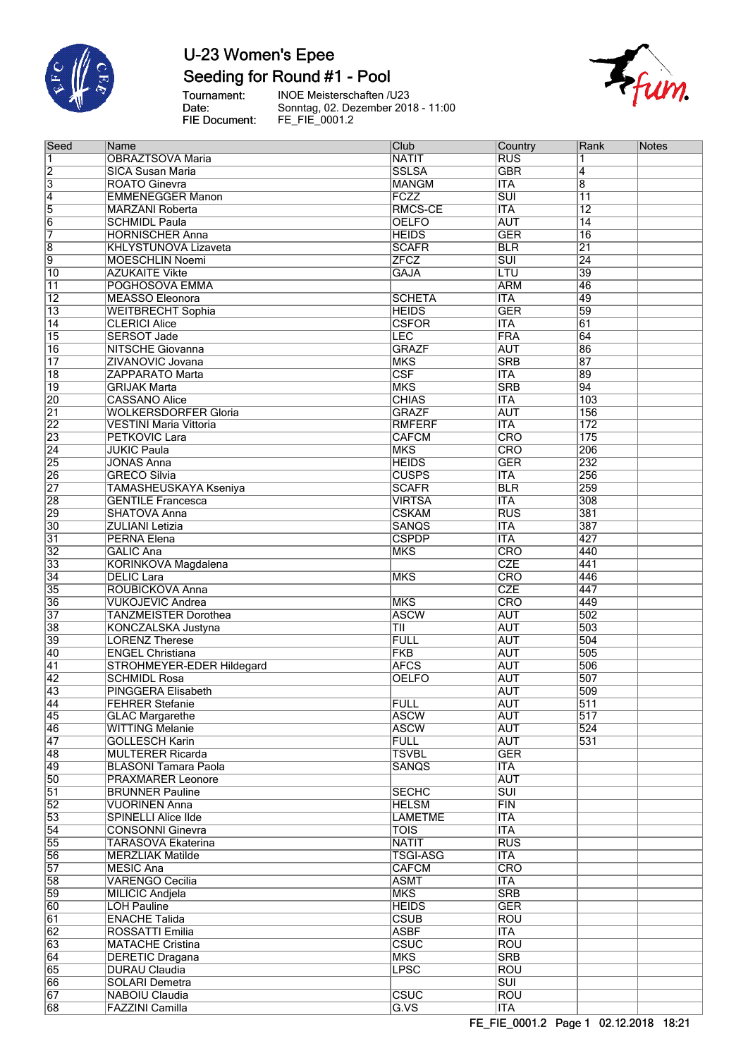

### Seeding for Round #1 - Pool

Tournament:<br>Date: FIE Document:

**INOE Meisterschaften /U23** Sonntag, 02. Dezember 2018 - 11:00<br>FE\_FIE\_0001.2



| Seed                      | Name                          | Club                    | Country                 | Rank            | <b>Notes</b> |
|---------------------------|-------------------------------|-------------------------|-------------------------|-----------------|--------------|
| 1                         | <b>OBRAZTSOVA Maria</b>       | <b>NATIT</b>            | <b>RUS</b>              | 1               |              |
| $\overline{2}$            | <b>SICA Susan Maria</b>       | <b>SSLSA</b>            | <b>GBR</b>              | $\overline{4}$  |              |
|                           |                               |                         |                         |                 |              |
| $\overline{\overline{3}}$ | <b>ROATO Ginevra</b>          | <b>MANGM</b>            | <b>ITA</b>              | $\overline{8}$  |              |
| $\overline{4}$            | <b>EMMENEGGER Manon</b>       | <b>FCZZ</b>             | $\overline{\text{SUI}}$ | $\overline{11}$ |              |
| $\overline{5}$            | <b>MARZANI Roberta</b>        | RMCS-CE                 | <b>ITA</b>              | $\overline{12}$ |              |
|                           |                               |                         |                         |                 |              |
| $\overline{6}$            | <b>SCHMIDL Paula</b>          | <b>OELFO</b>            | <b>AUT</b>              | $\overline{14}$ |              |
| 7                         | <b>HORNISCHER Anna</b>        | <b>HEIDS</b>            | <b>GER</b>              | $\overline{16}$ |              |
| $\overline{8}$            | <b>KHLYSTUNOVA Lizaveta</b>   | <b>SCAFR</b>            | <b>BLR</b>              | $\overline{21}$ |              |
|                           |                               |                         |                         |                 |              |
| $\overline{9}$            | <b>MOESCHLIN Noemi</b>        | <b>ZFCZ</b>             | $\overline{\text{SUI}}$ | 24              |              |
| $\overline{10}$           | <b>AZUKAITE Vikte</b>         | <b>GAJA</b>             | LTU                     | 39              |              |
| $\overline{11}$           | POGHOSOVA EMMA                |                         | <b>ARM</b>              | 46              |              |
| $\overline{12}$           | <b>MEASSO Eleonora</b>        | <b>SCHETA</b>           | <b>ITA</b>              | 49              |              |
|                           |                               |                         |                         |                 |              |
| $\overline{13}$           | <b>WEITBRECHT Sophia</b>      | <b>HEIDS</b>            | <b>GER</b>              | 59              |              |
| 14                        | <b>CLERICI Alice</b>          | <b>CSFOR</b>            | <b>ITA</b>              | 61              |              |
| 15                        | <b>SERSOT Jade</b>            | LEC                     | <b>FRA</b>              | 64              |              |
|                           |                               |                         |                         |                 |              |
| $\overline{16}$           | <b>NITSCHE Giovanna</b>       | <b>GRAZF</b>            | <b>AUT</b>              | 86              |              |
| $\overline{17}$           | ZIVANOVIC Jovana              | <b>MKS</b>              | <b>SRB</b>              | $\overline{87}$ |              |
| $\overline{18}$           | <b>ZAPPARATO Marta</b>        | $\overline{\text{CSF}}$ | <b>ITA</b>              | 89              |              |
|                           |                               |                         |                         |                 |              |
| $\overline{19}$           | <b>GRIJAK Marta</b>           | <b>MKS</b>              | <b>SRB</b>              | 94              |              |
| 20                        | <b>CASSANO Alice</b>          | <b>CHIAS</b>            | <b>ITA</b>              | 103             |              |
| $\overline{21}$           | <b>WOLKERSDORFER Gloria</b>   | <b>GRAZF</b>            | <b>AUT</b>              | 156             |              |
|                           | <b>VESTINI Maria Vittoria</b> |                         |                         | 172             |              |
| $\overline{22}$           |                               | <b>RMFERF</b>           | <b>ITA</b>              |                 |              |
| 23                        | <b>PETKOVIC Lara</b>          | <b>CAFCM</b>            | <b>CRO</b>              | 175             |              |
| $\overline{24}$           | <b>JUKIC Paula</b>            | <b>MKS</b>              | <b>CRO</b>              | 206             |              |
|                           | <b>JONAS Anna</b>             |                         |                         | 232             |              |
| $\overline{25}$           |                               | <b>HEIDS</b>            | <b>GER</b>              |                 |              |
| 26                        | <b>GRECO Silvia</b>           | <b>CUSPS</b>            | <b>ITA</b>              | 256             |              |
| $\overline{27}$           | TAMASHEUSKAYA Kseniya         | <b>SCAFR</b>            | <b>BLR</b>              | 259             |              |
|                           |                               |                         |                         |                 |              |
| 28                        | <b>GENTILE Francesca</b>      | <b>VIRTSA</b>           | <b>ITA</b>              | 308             |              |
| 29                        | <b>SHATOVA Anna</b>           | <b>CSKAM</b>            | <b>RUS</b>              | 381             |              |
| $\overline{30}$           | <b>ZULIANI Letizia</b>        | <b>SANQS</b>            | <b>ITA</b>              | 387             |              |
| $\overline{31}$           | <b>PERNA Elena</b>            | <b>CSPDP</b>            | <b>ITA</b>              | 427             |              |
|                           |                               |                         |                         |                 |              |
| $\overline{32}$           | <b>GALIC Ana</b>              | <b>MKS</b>              | <b>CRO</b>              | 440             |              |
| $\overline{33}$           | KORINKOVA Magdalena           |                         | <b>CZE</b>              | 441             |              |
| $\overline{34}$           | <b>DELIC Lara</b>             | <b>MKS</b>              | CRO                     | 446             |              |
|                           |                               |                         |                         |                 |              |
| 35                        | <b>ROUBICKOVA Anna</b>        |                         | <b>CZE</b>              | 447             |              |
| 36                        | <b>VUKOJEVIC Andrea</b>       | <b>MKS</b>              | <b>CRO</b>              | 449             |              |
| $\overline{37}$           | <b>TANZMEISTER Dorothea</b>   | <b>ASCW</b>             | <b>AUT</b>              | 502             |              |
|                           |                               |                         |                         |                 |              |
| 38                        | KONCZALSKA Justyna            | TII                     | <b>AUT</b>              | 503             |              |
| 39                        | <b>LORENZ Therese</b>         | <b>FULL</b>             | <b>AUT</b>              | 504             |              |
| 40                        | <b>ENGEL Christiana</b>       | <b>FKB</b>              | <b>AUT</b>              | 505             |              |
| $\overline{41}$           |                               | <b>AFCS</b>             | <b>AUT</b>              | 506             |              |
|                           | STROHMEYER-EDER Hildegard     |                         |                         |                 |              |
| $\overline{42}$           | <b>SCHMIDL Rosa</b>           | <b>OELFO</b>            | <b>AUT</b>              | 507             |              |
| 43                        | <b>PINGGERA Elisabeth</b>     |                         | <b>AUT</b>              | 509             |              |
| 44                        | <b>FEHRER Stefanie</b>        | <b>FULL</b>             | <b>AUT</b>              | 511             |              |
|                           |                               |                         |                         |                 |              |
| 45                        | <b>GLAC Margarethe</b>        | <b>ASCW</b>             | <b>AUT</b>              | 517             |              |
| 46                        | <b>WITTING Melanie</b>        | <b>ASCW</b>             | <b>AUT</b>              | 524             |              |
| $\overline{47}$           | <b>GOLLESCH Karin</b>         | <b>FULL</b>             | <b>AUT</b>              | 531             |              |
|                           |                               |                         |                         |                 |              |
| 48                        | <b>MULTERER Ricarda</b>       | <b>TSVBL</b>            | <b>GER</b>              |                 |              |
| 49                        | <b>BLASONI Tamara Paola</b>   | <b>SANQS</b>            | <b>ITA</b>              |                 |              |
| 50                        | <b>PRAXMARER Leonore</b>      |                         | <b>AUT</b>              |                 |              |
|                           |                               |                         | $\overline{\text{SUI}}$ |                 |              |
| $\overline{51}$           | <b>BRUNNER Pauline</b>        | <b>SECHC</b>            |                         |                 |              |
| $\overline{52}$           | <b>VUORINEN Anna</b>          | <b>HELSM</b>            | FIN                     |                 |              |
| 53                        | <b>SPINELLI Alice Ilde</b>    | <b>LAMETME</b>          | <b>ITA</b>              |                 |              |
| $\overline{54}$           | <b>CONSONNI Ginevra</b>       | <b>TOIS</b>             | <b>ITA</b>              |                 |              |
|                           |                               |                         |                         |                 |              |
| $\overline{55}$           | <b>TARASOVA Ekaterina</b>     | <b>NATIT</b>            | RUS                     |                 |              |
| 56                        | <b>MERZLIAK Matilde</b>       | <b>TSGI-ASG</b>         | <b>ITA</b>              |                 |              |
| $\overline{57}$           | <b>MESIC Ana</b>              | <b>CAFCM</b>            | <b>CRO</b>              |                 |              |
|                           |                               |                         |                         |                 |              |
| 58                        | <b>VARENGO Cecilia</b>        | <b>ASMT</b>             | <b>ITA</b>              |                 |              |
| 59                        | <b>MILICIC Andjela</b>        | <b>MKS</b>              | <b>SRB</b>              |                 |              |
| 60                        | <b>LOH Pauline</b>            | <b>HEIDS</b>            | <b>GER</b>              |                 |              |
|                           |                               |                         |                         |                 |              |
| $\overline{61}$           | <b>ENACHE Talida</b>          | <b>CSUB</b>             | <b>ROU</b>              |                 |              |
| $\overline{62}$           | <b>ROSSATTI Emilia</b>        | <b>ASBF</b>             | <b>ITA</b>              |                 |              |
| 63                        | <b>MATACHE Cristina</b>       | CSUC                    | <b>ROU</b>              |                 |              |
|                           |                               |                         |                         |                 |              |
| 64                        | <b>DERETIC Dragana</b>        | <b>MKS</b>              | <b>SRB</b>              |                 |              |
| 65                        | <b>DURAU Claudia</b>          | <b>LPSC</b>             | <b>ROU</b>              |                 |              |
| 66                        | <b>SOLARI Demetra</b>         |                         | $\overline{\text{SUI}}$ |                 |              |
| 67                        |                               | CSUC                    | <b>ROU</b>              |                 |              |
|                           | NABOIU Claudia                |                         |                         |                 |              |
| 68                        | <b>FAZZINI Camilla</b>        | G.VS                    | <b>ITA</b>              |                 |              |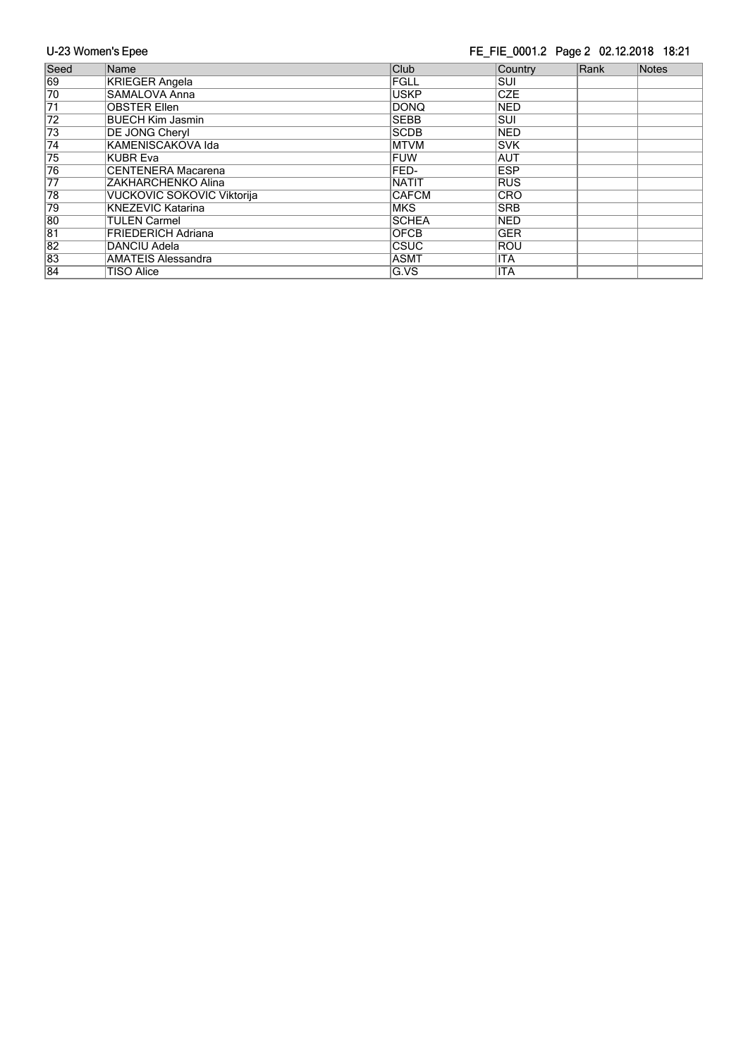#### FE\_FIE\_0001.2 Page 2 02.12.2018 18:21

| Seed            | Name                       | Club         | Country     | Rank | Notes |
|-----------------|----------------------------|--------------|-------------|------|-------|
| 69              | <b>KRIEGER Angela</b>      | FGLL         | <b>SUI</b>  |      |       |
| $\overline{70}$ | SAMALOVA Anna              | <b>USKP</b>  | <b>CZE</b>  |      |       |
| $\overline{71}$ | <b>OBSTER Ellen</b>        | <b>DONQ</b>  | <b>NED</b>  |      |       |
| $\overline{72}$ | <b>BUECH Kim Jasmin</b>    | <b>SEBB</b>  | <b>SUI</b>  |      |       |
| 73              | <b>DE JONG Cheryl</b>      | <b>SCDB</b>  | <b>NED</b>  |      |       |
| $\overline{74}$ | KAMENISCAKOVA Ida          | <b>MTVM</b>  | <b>ISVK</b> |      |       |
| $\overline{75}$ | KUBR Eva                   | <b>FUW</b>   | <b>AUT</b>  |      |       |
| 76              | <b>CENTENERA Macarena</b>  | FED-         | <b>ESP</b>  |      |       |
| 77              | ZAKHARCHENKO Alina         | <b>NATIT</b> | <b>RUS</b>  |      |       |
| 78              | VUCKOVIC SOKOVIC Viktorija | <b>CAFCM</b> | <b>CRO</b>  |      |       |
| 79              | KNEZEVIC Katarina          | <b>MKS</b>   | <b>SRB</b>  |      |       |
| 80              | <b>TULEN Carmel</b>        | <b>SCHEA</b> | <b>NED</b>  |      |       |
| 81              | <b>FRIEDERICH Adriana</b>  | <b>OFCB</b>  | <b>GER</b>  |      |       |
| $\overline{82}$ | DANCIU Adela               | CSUC         | <b>ROU</b>  |      |       |
| 83              | AMATEIS Alessandra         | <b>ASMT</b>  | <b>ITA</b>  |      |       |
| 84              | TISO Alice                 | G.VS         | <b>ITA</b>  |      |       |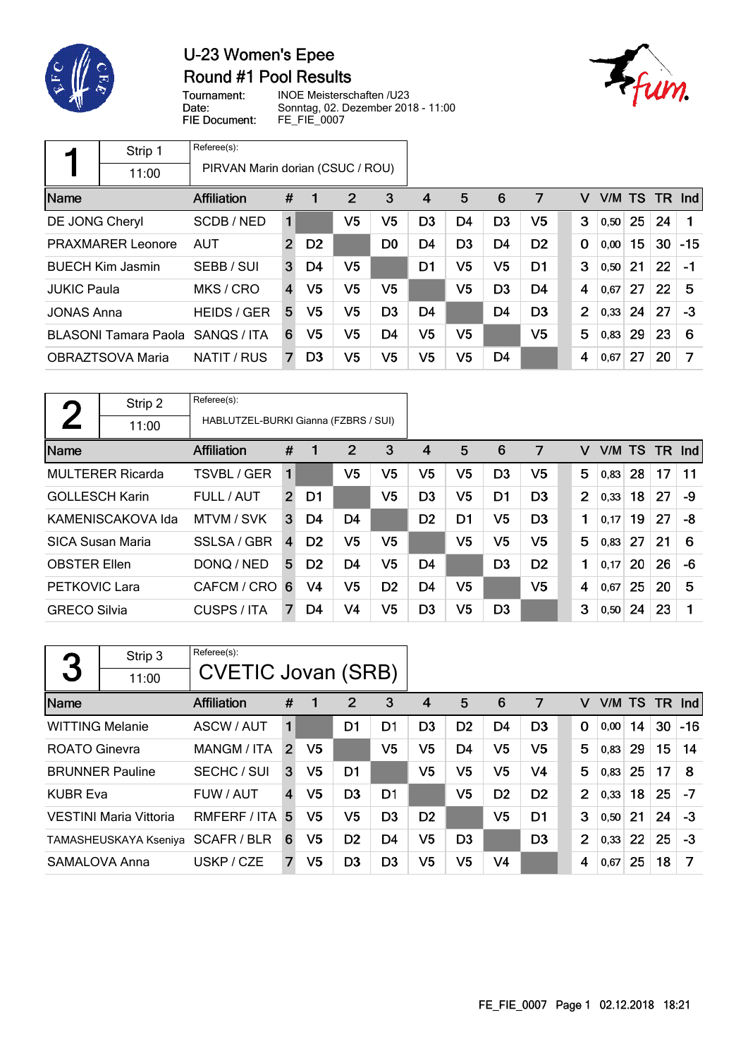

### U-23 Women's Epee Round #1 Pool Results



Tournament: Date: FIE Document:

INOE Meisterschaften /U23 Sonntag, 02. Dezember 2018 - 11:00 FE\_FIE\_0007

|                                        | Strip 1                     | Referee(s):                      |                |                |                |                |    |                |                |                |                |        |    |        |       |
|----------------------------------------|-----------------------------|----------------------------------|----------------|----------------|----------------|----------------|----|----------------|----------------|----------------|----------------|--------|----|--------|-------|
|                                        | 11:00                       | PIRVAN Marin dorian (CSUC / ROU) |                |                |                |                |    |                |                |                |                |        |    |        |       |
| Name                                   |                             | Affiliation                      | #              | 1              | 2              | 3              | 4  | 5              | 6              | 7              | v              | V/M TS |    | TR Ind |       |
| DE JONG Cheryl                         |                             | SCDB/NED                         | 1              |                | V5             | V <sub>5</sub> | D3 | D4             | D <sub>3</sub> | V5             | 3              | 0.50   | 25 | 24     |       |
| <b>PRAXMARER Leonore</b><br><b>AUT</b> |                             |                                  | $\overline{2}$ | D <sub>2</sub> |                | D <sub>0</sub> | D4 | D <sub>3</sub> | D <sub>4</sub> | D <sub>2</sub> | $\mathbf{0}$   | 0,00   | 15 | 30     | $-15$ |
|                                        | <b>BUECH Kim Jasmin</b>     | SEBB / SUI                       | 3              | D4             | V5             |                | D1 | V5             | V5             | D1             | 3              | 0,50   | 21 | 22     | $-1$  |
| <b>JUKIC Paula</b>                     |                             | MKS / CRO                        | 4              | V5             | V <sub>5</sub> | V5             |    | V5             | D <sub>3</sub> | D4             | 4              | 0.67   | 27 | 22     | 5     |
| <b>JONAS Anna</b>                      |                             | <b>HEIDS / GER</b>               | 5              | V5             | V5             | D <sub>3</sub> | D4 |                | D4             | D <sub>3</sub> | $\overline{2}$ | 0,33   | 24 | 27     | -3    |
|                                        | <b>BLASONI Tamara Paola</b> | SANOS / ITA                      | 6              | V5             | V5             | D4             | V5 | V5             |                | V <sub>5</sub> | 5              | 0,83   | 29 | 23     | 6     |
|                                        | OBRAZTSOVA Maria            | NATIT / RUS                      | 7              | D <sub>3</sub> | V5             | V5             | V5 | V5             | D4             |                | 4              | 0.67   | 27 | 20     | 7     |

| <b>Q</b>              | Strip 2                 | Referee(s):                          |                |                |                |                |                |                |                |                |                |        |    |     |            |
|-----------------------|-------------------------|--------------------------------------|----------------|----------------|----------------|----------------|----------------|----------------|----------------|----------------|----------------|--------|----|-----|------------|
|                       | 11:00                   | HABLUTZEL-BURKI Gianna (FZBRS / SUI) |                |                |                |                |                |                |                |                |                |        |    |     |            |
| Name                  |                         | Affiliation                          | #              |                | 2              | 3              | 4              | 5              | 6              | 7              | v              | V/M TS |    | TR. | <b>Ind</b> |
|                       | <b>MULTERER Ricarda</b> | TSVBL / GER                          | 1              |                | V5             | V5             | V <sub>5</sub> | V5             | D <sub>3</sub> | V <sub>5</sub> | 5              | 0,83   | 28 | 17  | 11         |
| <b>GOLLESCH Karin</b> |                         | FULL / AUT                           | $\overline{2}$ | D1             |                | V <sub>5</sub> | D <sub>3</sub> | V5             | D <sub>1</sub> | D <sub>3</sub> | $\overline{2}$ | 0,33   | 18 | 27  | -9         |
|                       | KAMENISCAKOVA Ida       | MTVM / SVK                           | 3              | D <sub>4</sub> | D <sub>4</sub> |                | D <sub>2</sub> | D <sub>1</sub> | V5             | D <sub>3</sub> | 1              | 0,17   | 19 | 27  | -8         |
|                       | <b>SICA Susan Maria</b> | SSLSA / GBR                          | $\overline{4}$ | D <sub>2</sub> | V5             | V5             |                | V5             | V <sub>5</sub> | V <sub>5</sub> | 5              | 0,83   | 27 | 21  | 6          |
| <b>OBSTER Ellen</b>   |                         | DONQ / NED                           | 5              | D <sub>2</sub> | D4             | V5             | D <sub>4</sub> |                | D <sub>3</sub> | D <sub>2</sub> | 1              | 0,17   | 20 | 26  | -6         |
| <b>PETKOVIC Lara</b>  |                         | CAFCM / CRO                          | 6              | V4             | V5             | D <sub>2</sub> | D <sub>4</sub> | V5             |                | V5             | 4              | 0,67   | 25 | 20  | 5          |
| <b>GRECO Silvia</b>   |                         | CUSPS / ITA                          | 7              | D4             | V <sub>4</sub> | V5             | D <sub>3</sub> | V5             | D <sub>3</sub> |                | 3              | 0, 50  | 24 | 23  |            |

| 3                      | Strip 3<br>11:00              | Referee(s):<br><b>CVETIC Jovan (SRB)</b> |                |                |                |                |                |                |                |                |                |        |    |     |            |
|------------------------|-------------------------------|------------------------------------------|----------------|----------------|----------------|----------------|----------------|----------------|----------------|----------------|----------------|--------|----|-----|------------|
| Name                   |                               | Affiliation                              | #              | 1              | $\overline{2}$ | 3              | 4              | 5              | 6              | 7              | v              | V/M TS |    | TR. | <b>Ind</b> |
| <b>WITTING Melanie</b> |                               | ASCW / AUT                               | 1              |                | D1             | D1             | D <sub>3</sub> | D <sub>2</sub> | D4             | D <sub>3</sub> | 0              | 0,00   | 14 | 30  | $-16$      |
| <b>ROATO Ginevra</b>   |                               | <b>MANGM / ITA</b>                       | $\overline{2}$ | V <sub>5</sub> |                | V5             | V5             | D4             | V <sub>5</sub> | V <sub>5</sub> | 5              | 0,83   | 29 | 15  | 14         |
|                        | <b>BRUNNER Pauline</b>        | SECHC / SUI                              | 3              | V5             | D <sub>1</sub> |                | V5             | V <sub>5</sub> | V5             | V <sub>4</sub> | 5              | 0,83   | 25 | 17  | 8          |
| <b>KUBR Eva</b>        |                               | FUW / AUT                                | $\overline{4}$ | V5             | D <sub>3</sub> | D <sub>1</sub> |                | V <sub>5</sub> | D <sub>2</sub> | D <sub>2</sub> | $\overline{2}$ | 0,33   | 18 | 25  | $-7$       |
|                        | <b>VESTINI Maria Vittoria</b> | RMFERF / ITA                             | 5              | V5             | V5             | D <sub>3</sub> | D <sub>2</sub> |                | V <sub>5</sub> | D <sub>1</sub> | 3              | 0,50   | 21 | 24  | $-3$       |
|                        | TAMASHEUSKAYA Kseniya         | SCAFR/BLR                                | 6              | V5             | D <sub>2</sub> | D <sub>4</sub> | V5             | D <sub>3</sub> |                | D <sub>3</sub> | $\overline{2}$ | 0,33   | 22 | 25  | $-3$       |
| SAMALOVA Anna          |                               | USKP / CZE                               | 7              | V5             | D <sub>3</sub> | D <sub>3</sub> | V5             | V5             | V4             |                | 4              | 0,67   | 25 | 18  | 7          |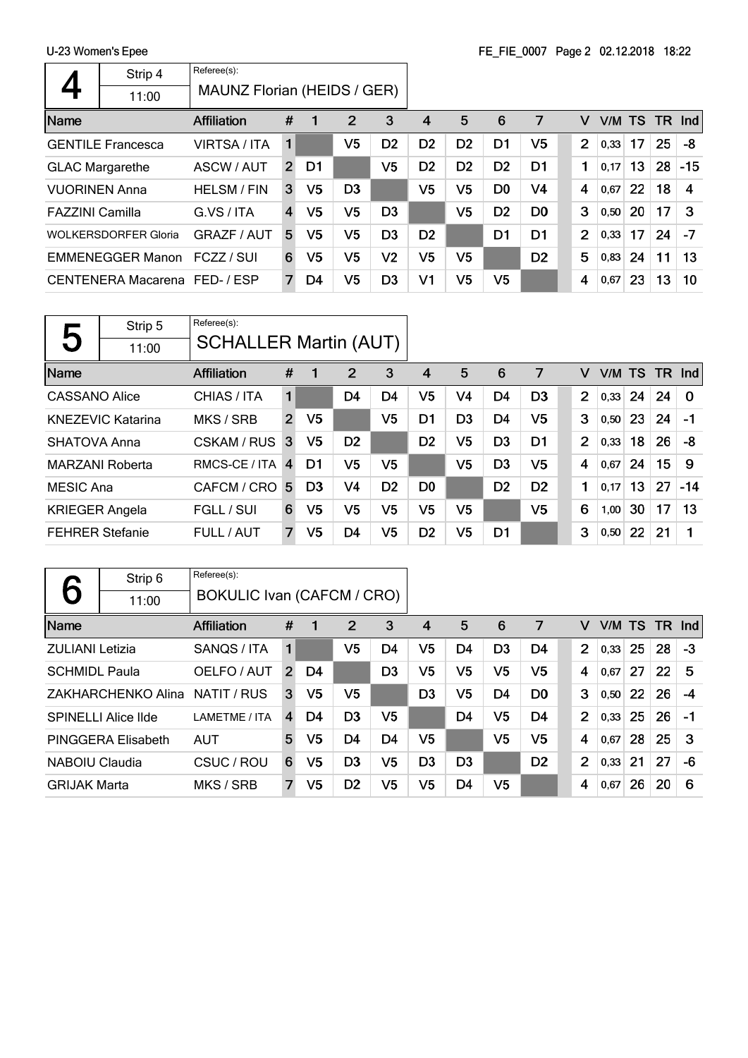|                        | Strip 4                       | Referee(s):                 |                |                |                |                |                |                |                |                |                |        |    |     |       |
|------------------------|-------------------------------|-----------------------------|----------------|----------------|----------------|----------------|----------------|----------------|----------------|----------------|----------------|--------|----|-----|-------|
|                        | 11:00                         | MAUNZ Florian (HEIDS / GER) |                |                |                |                |                |                |                |                |                |        |    |     |       |
| Name                   |                               | Affiliation                 | #              | 1              | 2              | 3              | 4              | 5              | 6              | 7              | v              | V/M TS |    | TR. | Ind   |
|                        | <b>GENTILE Francesca</b>      | VIRTSA / ITA                | 1              |                | V5             | D <sub>2</sub> | D <sub>2</sub> | D <sub>2</sub> | D <sub>1</sub> | V5             | $\overline{2}$ | 0,33   | 17 | 25  | -8    |
| <b>GLAC Margarethe</b> |                               | ASCW / AUT                  | $\overline{2}$ | D1             |                | V5             | D2             | D <sub>2</sub> | D <sub>2</sub> | D1             | 1              | 0.17   | 13 | 28  | $-15$ |
| <b>VUORINEN Anna</b>   |                               | <b>HELSM / FIN</b>          | 3              | V <sub>5</sub> | D <sub>3</sub> |                | V5             | V5             | D <sub>0</sub> | V4             | 4              | 0,67   | 22 | 18  | 4     |
| <b>FAZZINI Camilla</b> |                               | G.VS / ITA                  | $\overline{4}$ | V5             | V5             | D <sub>3</sub> |                | V5             | D <sub>2</sub> | D <sub>0</sub> | 3              | 0,50   | 20 | 17  | -3    |
|                        | <b>WOLKERSDORFER Gloria</b>   | <b>GRAZF / AUT</b>          | 5              | V5             | V5             | D <sub>3</sub> | D <sub>2</sub> |                | D <sub>1</sub> | D <sub>1</sub> | $\overline{2}$ | 0,33   | 17 | 24  | -7    |
|                        | <b>EMMENEGGER Manon</b>       | FCZZ / SUI                  | 6              | V5             | V5             | V2             | V5             | V5             |                | D <sub>2</sub> | 5              | 0,83   | 24 | 11  | 13    |
|                        | CENTENERA Macarena FED- / ESP |                             | 7              | D4             | V5             | D <sub>3</sub> | V1             | V5             | V5             |                | 4              | 0,67   | 23 | 13  | 10    |

|                        | Strip 5                  | Referee(s):                  |                |                |                |                |                |                |                |                |                |        |                 |           |          |
|------------------------|--------------------------|------------------------------|----------------|----------------|----------------|----------------|----------------|----------------|----------------|----------------|----------------|--------|-----------------|-----------|----------|
| 5                      | 11:00                    | <b>SCHALLER Martin (AUT)</b> |                |                |                |                |                |                |                |                |                |        |                 |           |          |
| Name                   |                          | <b>Affiliation</b>           | #              | 1              | 2              | 3              | 4              | 5              | 6              | 7              | v              | V/M TS |                 | <b>TR</b> | Ind      |
| CASSANO Alice          |                          | CHIAS / ITA                  | 1              |                | D <sub>4</sub> | D <sub>4</sub> | V5             | V4             | D <sub>4</sub> | D <sub>3</sub> | $\overline{2}$ | 0,33   | 24              | 24        | $\Omega$ |
|                        | <b>KNEZEVIC Katarina</b> | MKS / SRB                    | $\overline{2}$ | V <sub>5</sub> |                | V5             | D1             | D <sub>3</sub> | D <sub>4</sub> | V <sub>5</sub> | 3              | 0,50   | 23              | 24        | -1       |
| <b>SHATOVA Anna</b>    |                          | <b>CSKAM / RUS</b>           | 3              | V5             | D <sub>2</sub> |                | D <sub>2</sub> | V5             | D <sub>3</sub> | D <sub>1</sub> | $\overline{2}$ | 0,33   | 18              | 26        | -8       |
| <b>MARZANI Roberta</b> |                          | RMCS-CE / ITA                | $\overline{4}$ | D1             | V <sub>5</sub> | V5             |                | V5             | D <sub>3</sub> | V <sub>5</sub> | 4              | 0,67   | 24              | 15        | 9        |
| <b>MESIC Ana</b>       |                          | CAFCM / CRO                  | -5             | D <sub>3</sub> | V4             | D <sub>2</sub> | D <sub>0</sub> |                | D <sub>2</sub> | D <sub>2</sub> | 1              | 0.17   | 13 <sub>1</sub> | 27        | $-14$    |
| <b>KRIEGER Angela</b>  |                          | FGLL / SUI                   | 6              | V5             | V5             | V5             | V5             | V <sub>5</sub> |                | V <sub>5</sub> | 6              | 1,00   | 30              | 17        | 13       |
| <b>FEHRER Stefanie</b> |                          | FULL / AUT                   | 7              | V <sub>5</sub> | D <sub>4</sub> | V5             | D <sub>2</sub> | V5             | D <sub>1</sub> |                | 3              | 0,50   | 22              | 21        | 1        |

|                        | Strip 6                    | Referee(s):                |                |                |                |                |                |                |                |                |                |      |           |     |      |
|------------------------|----------------------------|----------------------------|----------------|----------------|----------------|----------------|----------------|----------------|----------------|----------------|----------------|------|-----------|-----|------|
|                        | 11:00                      | BOKULIC Ivan (CAFCM / CRO) |                |                |                |                |                |                |                |                |                |      |           |     |      |
| Name                   |                            | <b>Affiliation</b>         | #              | 1              | $\overline{2}$ | 3              | 4              | 5              | 6              | 7              | v              | V/M  | <b>TS</b> | TR. | Ind  |
| <b>ZULIANI Letizia</b> |                            | SANQS / ITA                | 1              |                | V5             | D4             | V5             | D4             | D <sub>3</sub> | D4             | $\overline{2}$ | 0,33 | 25        | 28  | $-3$ |
| <b>SCHMIDL Paula</b>   |                            | OELFO / AUT                | $\overline{2}$ | D4             |                | D <sub>3</sub> | V <sub>5</sub> | V <sub>5</sub> | V <sub>5</sub> | V <sub>5</sub> | 4              | 0,67 | 27        | 22  | 5    |
|                        | ZAKHARCHENKO Alina         | NATIT / RUS                | 3              | V5             | V <sub>5</sub> |                | D <sub>3</sub> | V <sub>5</sub> | D <sub>4</sub> | D <sub>0</sub> | 3              | 0,50 | 22        | 26  | -4   |
|                        | <b>SPINELLI Alice IIde</b> | LAMETME / ITA              | 4              | D4             | D <sub>3</sub> | V5             |                | D <sub>4</sub> | V <sub>5</sub> | D4             | $\overline{2}$ | 0,33 | 25        | 26  | -1   |
|                        | PINGGERA Elisabeth         | <b>AUT</b>                 | 5              | V <sub>5</sub> | D4             | D <sub>4</sub> | V5             |                | V <sub>5</sub> | V <sub>5</sub> | 4              | 0,67 | 28        | 25  | 3    |
| NABOIU Claudia         |                            | CSUC / ROU                 | 6              | V5             | D <sub>3</sub> | V5             | D <sub>3</sub> | D <sub>3</sub> |                | D <sub>2</sub> | $\overline{2}$ | 0,33 | 21        | 27  | -6   |
| <b>GRIJAK Marta</b>    |                            | MKS / SRB                  | $\overline{7}$ | V5             | D <sub>2</sub> | V5             | V5             | D <sub>4</sub> | V <sub>5</sub> |                | 4              | 0,67 | 26        | 20  | 6    |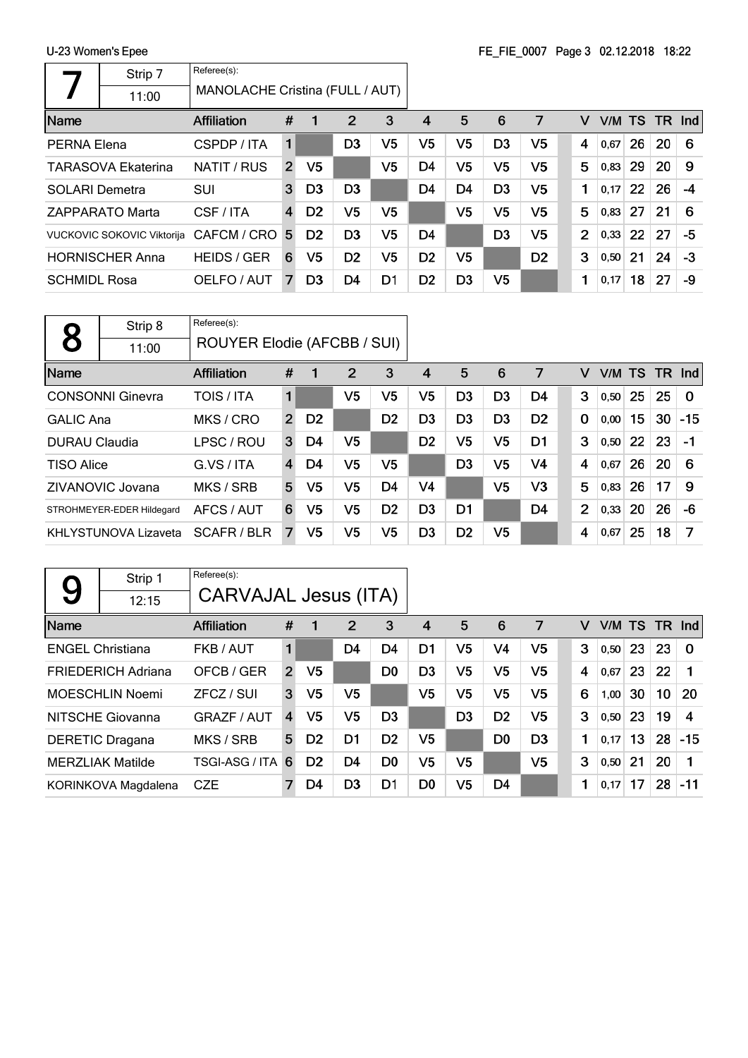|                                          | <b>U-LU MUNICII J LIUC</b>        |                                 |   |                |                |                | IL IL VOOT TUGUU VEILLOTU TULEE |                |                |                |                |      |    |               |      |
|------------------------------------------|-----------------------------------|---------------------------------|---|----------------|----------------|----------------|---------------------------------|----------------|----------------|----------------|----------------|------|----|---------------|------|
|                                          | Strip 7                           | Referee(s):                     |   |                |                |                |                                 |                |                |                |                |      |    |               |      |
|                                          | 11:00                             | MANOLACHE Cristina (FULL / AUT) |   |                |                |                |                                 |                |                |                |                |      |    |               |      |
| Name                                     |                                   | <b>Affiliation</b>              | # |                | 2              | 3              | 4                               | 5              | 6              | 7              | v              |      |    | V/M TS TR Ind |      |
| PERNA Elena<br>CSPDP / ITA               |                                   |                                 | 1 |                | D <sub>3</sub> | V5             | V5                              | V <sub>5</sub> | D <sub>3</sub> | V5             | 4              | 0,67 | 26 | 20            | 6    |
| NATIT / RUS<br><b>TARASOVA Ekaterina</b> |                                   |                                 | 2 | V <sub>5</sub> |                | V <sub>5</sub> | D4                              | V <sub>5</sub> | V <sub>5</sub> | V5             | 5              | 0,83 | 29 | 20            | 9    |
| <b>SOLARI Demetra</b>                    |                                   | SUI                             | 3 | D <sub>3</sub> | D <sub>3</sub> |                | D <sub>4</sub>                  | D <sub>4</sub> | D <sub>3</sub> | V <sub>5</sub> | 1              | 0,17 | 22 | 26            | $-4$ |
|                                          | ZAPPARATO Marta                   | CSF / ITA                       | 4 | D <sub>2</sub> | V5             | V5             |                                 | V <sub>5</sub> | V5             | V5             | 5              | 0,83 | 27 | 21            | 6    |
|                                          | <b>VUCKOVIC SOKOVIC Viktorija</b> | CAFCM / CRO 5                   |   | D <sub>2</sub> | D <sub>3</sub> | V5             | D4                              |                | D <sub>3</sub> | V5             | $\overline{2}$ | 0,33 | 22 | 27            | -5   |
|                                          | <b>HORNISCHER Anna</b>            | <b>HEIDS / GER</b>              | 6 | V5             | D <sub>2</sub> | V5             | D <sub>2</sub>                  | V <sub>5</sub> |                | D <sub>2</sub> | 3              | 0,50 | 21 | 24            | $-3$ |
| <b>SCHMIDL Rosa</b>                      |                                   | OELFO / AUT                     |   | D <sub>3</sub> | D4             | D1             | D <sub>2</sub>                  | D <sub>3</sub> | V5             |                | 1              | 0,17 | 18 | 27            | -9   |
|                                          |                                   |                                 |   |                |                |                |                                 |                |                |                |                |      |    |               |      |

|                      | Strip 8                     | Referee(s):                 |                  |                |                |                |                |                |                |                |                |           |    |    |          |
|----------------------|-----------------------------|-----------------------------|------------------|----------------|----------------|----------------|----------------|----------------|----------------|----------------|----------------|-----------|----|----|----------|
|                      | 11:00                       | ROUYER Elodie (AFCBB / SUI) |                  |                |                |                |                |                |                |                |                |           |    |    |          |
| Name                 |                             | <b>Affiliation</b>          | 2<br>3<br>#<br>1 |                |                |                |                |                | 6              | 7              | v              | V/M TS TR |    |    | Ind      |
|                      | <b>CONSONNI Ginevra</b>     | <b>TOIS / ITA</b>           | 1                |                | V5             | V5             | V5             | D <sub>3</sub> | D <sub>3</sub> | D4             | 3              | 0,50      | 25 | 25 | $\Omega$ |
| <b>GALIC Ana</b>     |                             | MKS / CRO                   | $\overline{2}$   | D <sub>2</sub> |                | D <sub>2</sub> | D <sub>3</sub> | D <sub>3</sub> | D <sub>3</sub> | D <sub>2</sub> | 0              | 0,00      | 15 | 30 | $-15$    |
| <b>DURAU Claudia</b> |                             | LPSC / ROU                  | 3                | D4             | V <sub>5</sub> |                | D <sub>2</sub> | V <sub>5</sub> | V5             | D <sub>1</sub> | 3              | 0,50      | 22 | 23 | -1       |
| <b>TISO Alice</b>    |                             | G.VS / ITA                  | $\overline{4}$   | D4             | V5             | V5             |                | D <sub>3</sub> | V5             | V <sub>4</sub> | 4              | 0,67      | 26 | 20 | 6        |
|                      | ZIVANOVIC Jovana            | MKS / SRB                   | 5                | V5             | V5             | D <sub>4</sub> | V4             |                | V <sub>5</sub> | V <sub>3</sub> | 5              | 0,83      | 26 | 17 | 9        |
|                      | STROHMEYER-EDER Hildegard   | AFCS / AUT                  | 6                | V5             | V5             | D <sub>2</sub> | D <sub>3</sub> | D <sub>1</sub> |                | D <sub>4</sub> | $\overline{2}$ | 0,33      | 20 | 26 | $-6$     |
|                      | <b>KHLYSTUNOVA Lizaveta</b> | SCAFR/BLR                   | 7                | V5             | V5             | V <sub>5</sub> | D <sub>3</sub> | D <sub>2</sub> | V5             |                | 4              | 0,67      | 25 | 18 | 7        |

|                         | Strip 1                   | Referee(s):                 |                               |                |                |                |                |                |                |                |   |        |    |     |          |
|-------------------------|---------------------------|-----------------------------|-------------------------------|----------------|----------------|----------------|----------------|----------------|----------------|----------------|---|--------|----|-----|----------|
| 9                       | 12:15                     | <b>CARVAJAL Jesus (ITA)</b> |                               |                |                |                |                |                |                |                |   |        |    |     |          |
| Name                    |                           | <b>Affiliation</b>          | $\overline{2}$<br>3<br>#<br>1 |                |                |                |                |                | 6              | 7              | v | V/M TS |    | TR. | Ind      |
| <b>ENGEL Christiana</b> |                           | FKB / AUT                   | $\mathbf{1}$                  |                | D4             | D <sub>4</sub> | D1             | V5             | V <sub>4</sub> | V5             | 3 | 0,50   | 23 | 23  | $\Omega$ |
|                         | <b>FRIEDERICH Adriana</b> | OFCB / GER                  | $\overline{2}$                | V <sub>5</sub> |                | D <sub>0</sub> | D <sub>3</sub> | V <sub>5</sub> | V <sub>5</sub> | V <sub>5</sub> | 4 | 0,67   | 23 | 22  |          |
|                         | MOESCHLIN Noemi           | ZFCZ / SUI                  | 3                             | V5             | V <sub>5</sub> |                | V <sub>5</sub> | V <sub>5</sub> | V <sub>5</sub> | V <sub>5</sub> | 6 | 1,00   | 30 | 10  | 20       |
|                         | NITSCHE Giovanna          | <b>GRAZF / AUT</b>          | 4                             | V5             | V <sub>5</sub> | D <sub>3</sub> |                | D <sub>3</sub> | D <sub>2</sub> | V <sub>5</sub> | 3 | 0,50   | 23 | 19  | 4        |
|                         | <b>DERETIC Dragana</b>    | MKS / SRB                   | 5                             | D <sub>2</sub> | D <sub>1</sub> | D <sub>2</sub> | V <sub>5</sub> |                | D <sub>0</sub> | D <sub>3</sub> | 1 | 0,17   | 13 | 28  | $-15$    |
|                         | <b>MERZLIAK Matilde</b>   | TSGI-ASG / ITA              | 6                             | D <sub>2</sub> | D <sub>4</sub> | D <sub>0</sub> | V <sub>5</sub> | V <sub>5</sub> |                | V <sub>5</sub> | 3 | 0,50   | 21 | 20  |          |
|                         | KORINKOVA Magdalena       | <b>CZE</b>                  | 7                             | D4             | D <sub>3</sub> | D1             | D0             | V <sub>5</sub> | D4             |                | 1 | 0,17   | 17 | 28  | -11      |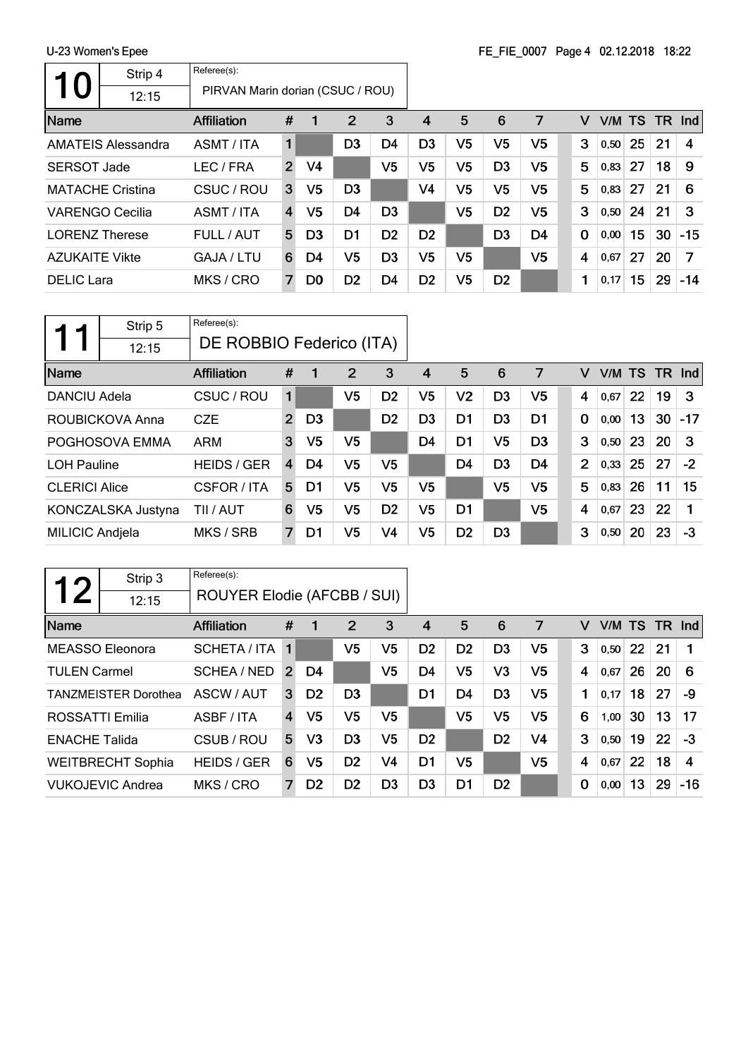| <b>10</b>              | Strip 4<br>12:15          | Referee(s):<br>PIRVAN Marin dorian (CSUC / ROU) |                |                |                |                |                |                |                |                |                |        |    |    |        |
|------------------------|---------------------------|-------------------------------------------------|----------------|----------------|----------------|----------------|----------------|----------------|----------------|----------------|----------------|--------|----|----|--------|
| <b>Name</b>            |                           | Affiliation                                     | #              |                | $\overline{2}$ | 3              | 4              | 5              | 6              | 7              | v              | V/M TS |    |    | TR Ind |
|                        | <b>AMATEIS Alessandra</b> | ASMT / ITA                                      | $\blacksquare$ |                | D <sub>3</sub> | D <sub>4</sub> | D <sub>3</sub> | V <sub>5</sub> | V <sub>5</sub> | V5             | 3              | 0,50   | 25 | 21 | 4      |
| <b>SERSOT Jade</b>     |                           | LEC / FRA                                       | $\overline{2}$ | V4             |                | V <sub>5</sub> | V5             | V <sub>5</sub> | D <sub>3</sub> | V5             | 5              | 0,83   | 27 | 18 | 9      |
|                        | <b>MATACHE Cristina</b>   | CSUC / ROU                                      | 3              | V <sub>5</sub> | D <sub>3</sub> |                | V <sub>4</sub> | V <sub>5</sub> | V <sub>5</sub> | V <sub>5</sub> | 5              | 0,83   | 27 | 21 | 6      |
| <b>VARENGO Cecilia</b> |                           | ASMT / ITA                                      | $\overline{4}$ | V5             | D <sub>4</sub> | D <sub>3</sub> |                | V <sub>5</sub> | D <sub>2</sub> | V5             | 3              | 0,50   | 24 | 21 | 3      |
| <b>LORENZ Therese</b>  |                           | FULL / AUT                                      | 5              | D <sub>3</sub> | D <sub>1</sub> | D <sub>2</sub> | D <sub>2</sub> |                | D <sub>3</sub> | D <sub>4</sub> | $\mathbf 0$    | 0,00   | 15 | 30 | $-15$  |
| <b>AZUKAITE Vikte</b>  |                           | GAJA / LTU                                      | 6              | D4             | V5             | D <sub>3</sub> | V <sub>5</sub> | V <sub>5</sub> |                | V <sub>5</sub> | $\overline{4}$ | 0.67   | 27 | 20 | 7      |
| <b>DELIC</b> Lara      |                           | MKS / CRO                                       | $\overline{7}$ | D <sub>0</sub> | D <sub>2</sub> | D <sub>4</sub> | D <sub>2</sub> | V <sub>5</sub> | D <sub>2</sub> |                | 1              | 0,17   | 15 | 29 | $-14$  |

|                                     | Strip 5            | Referee(s):              |                               |                |                |                |                |                |                |                |                |        |    |           |       |
|-------------------------------------|--------------------|--------------------------|-------------------------------|----------------|----------------|----------------|----------------|----------------|----------------|----------------|----------------|--------|----|-----------|-------|
|                                     | 12:15              | DE ROBBIO Federico (ITA) |                               |                |                |                |                |                |                |                |                |        |    |           |       |
| Name                                |                    | <b>Affiliation</b>       | $\overline{2}$<br>3<br>#<br>1 |                |                |                |                |                | 6              | 7              | v              | V/M TS |    | <b>TR</b> | Ind   |
| <b>DANCIU Adela</b>                 |                    | CSUC / ROU               | 1                             |                | V5             | D <sub>2</sub> | V5             | V <sub>2</sub> | D <sub>3</sub> | V5             | 4              | 0,67   | 22 | 19        | 3     |
|                                     | ROUBICKOVA Anna    | <b>CZE</b>               | 2                             | D <sub>3</sub> |                | D <sub>2</sub> | D <sub>3</sub> | D <sub>1</sub> | D <sub>3</sub> | D <sub>1</sub> | $\bf{0}$       | 0,00   | 13 | 30        | $-17$ |
|                                     | POGHOSOVA EMMA     | <b>ARM</b>               | 3                             | V5             | V5             |                | D <sub>4</sub> | D <sub>1</sub> | V5             | D <sub>3</sub> | 3              | 0,50   | 23 | 20        | 3     |
| <b>LOH Pauline</b>                  |                    | <b>HEIDS / GER</b>       | $\overline{4}$                | D4             | V5             | V5             |                | D <sub>4</sub> | D <sub>3</sub> | D <sub>4</sub> | $\overline{2}$ | 0,33   | 25 | 27        | $-2$  |
| <b>CLERICI Alice</b>                |                    | CSFOR / ITA              | 5                             | D1             | V5             | V5             | V5             |                | V5             | V5             | 5              | 0,83   | 26 | 11        | 15    |
|                                     | KONCZALSKA Justyna | TII / AUT                | 6                             | V5             | V5             | D <sub>2</sub> | V5             | D <sub>1</sub> |                | V5             | 4              | 0,67   | 23 | 22        |       |
| <b>MILICIC Andjela</b><br>MKS / SRB |                    | 7                        | D1                            | V5             | V <sub>4</sub> | V5             | D <sub>2</sub> | D <sub>3</sub> |                | 3              | 0,50           | 20     | 23 | -3        |       |

| 1つ                                   | Strip 3                     | Referee(s):                 |                               |                |                |                |                |                |                |                |      |        |    |       |                    |
|--------------------------------------|-----------------------------|-----------------------------|-------------------------------|----------------|----------------|----------------|----------------|----------------|----------------|----------------|------|--------|----|-------|--------------------|
|                                      | 12:15                       | ROUYER Elodie (AFCBB / SUI) |                               |                |                |                |                |                |                |                |      |        |    |       |                    |
| Name                                 |                             | <b>Affiliation</b>          | $\overline{2}$<br>3<br>#<br>1 |                |                |                |                |                | 6              | 7              | v    | V/M TS |    | TR .  | Ind                |
|                                      | MEASSO Eleonora             | <b>SCHETA / ITA</b>         | $\overline{1}$                |                | V <sub>5</sub> | V5             | D <sub>2</sub> | D <sub>2</sub> | D <sub>3</sub> | V5             | 3    | 0,50   | 22 | 21    | 1                  |
| <b>TULEN Carmel</b>                  |                             | SCHEA / NED                 | $\overline{2}$                | D4             |                | V <sub>5</sub> | D4             | V <sub>5</sub> | V3             | V <sub>5</sub> | 4    | 0,67   | 26 | 20    | 6                  |
|                                      | <b>TANZMEISTER Dorothea</b> | ASCW / AUT                  | 3                             | D <sub>2</sub> | D <sub>3</sub> |                | D <sub>1</sub> | D <sub>4</sub> | D <sub>3</sub> | V <sub>5</sub> | 1    | 0.17   | 18 | 27    | -9                 |
| ROSSATTI Emilia                      |                             | ASBF / ITA                  | 4                             | V5             | V <sub>5</sub> | V5             |                | V <sub>5</sub> | V <sub>5</sub> | V <sub>5</sub> | 6    | 1,00   | 30 | 13    | 17                 |
| <b>ENACHE Talida</b>                 |                             | CSUB / ROU                  | 5                             | V <sub>3</sub> | D <sub>3</sub> | V <sub>5</sub> | D <sub>2</sub> |                | D <sub>2</sub> | V4             | 3    | 0,50   | 19 | 22    | $-3$               |
|                                      | <b>WEITBRECHT Sophia</b>    | <b>HEIDS / GER</b>          | 6                             | V5             | D <sub>2</sub> | V4             | D <sub>1</sub> | V <sub>5</sub> |                | V <sub>5</sub> | 4    | 0,67   | 22 | 18    | $\overline{\bf 4}$ |
| <b>VUKOJEVIC Andrea</b><br>MKS / CRO |                             | 7                           | D <sub>2</sub>                | D <sub>2</sub> | D3             | D <sub>3</sub> | D <sub>1</sub> | D <sub>2</sub> |                | 0              | 0,00 | 13     | 29 | $-16$ |                    |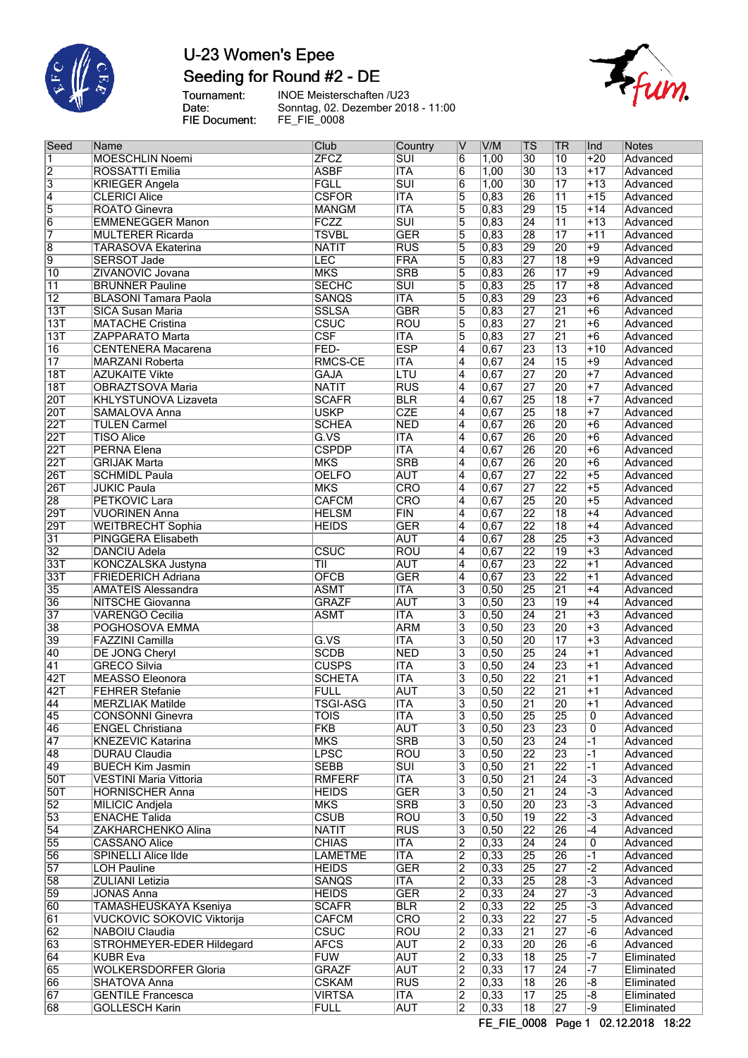

## U-23 Women's Epee Seeding for Round #2 - DE

fum.

Tournament:<br>Date:<br>FIE Document:

INOE Meisterschaften /U23<br>Sonntag, 02. Dezember 2018 - 11:00<br>FE\_FIE\_0008

| Seed                          | Name                                             | Club                       | Country                  | IV                                        | V/M               | TS                                 | TR                    | Ind                                          | Notes                              |
|-------------------------------|--------------------------------------------------|----------------------------|--------------------------|-------------------------------------------|-------------------|------------------------------------|-----------------------|----------------------------------------------|------------------------------------|
| $\overline{1}$                | <b>MOESCHLIN Noemi</b>                           | <b>ZFCZ</b>                | $\overline{\text{SUI}}$  | $\overline{6}$                            | 1,00              | $\overline{30}$                    | 10                    | $+20$                                        | Advanced                           |
| $\frac{2}{3}$                 | ROSSATTI Emilia                                  | <b>ASBF</b>                | <b>ITA</b>               | $\overline{6}$                            | 1,00              | 30                                 | $\overline{13}$       | $+17$                                        | Advanced                           |
|                               | <b>KRIEGER Angela</b>                            | <b>FGLL</b>                | $\overline{\text{SUI}}$  | $\overline{6}$                            | 1,00              | 30                                 | $\overline{17}$       | $+13$                                        | Advanced                           |
| $\overline{4}$                | <b>CLERICI Alice</b>                             | <b>CSFOR</b>               | <b>ITA</b>               | 5                                         | 0,83              | 26                                 | $\overline{11}$       | $+15$                                        | Advanced                           |
| $\overline{5}$                | <b>ROATO Ginevra</b>                             | <b>MANGM</b>               | $\overline{\text{ITA}}$  | 5                                         | 0,83              | 29                                 | $\overline{15}$       | $+14$                                        | Advanced                           |
| $\overline{6}$                | <b>EMMENEGGER Manon</b>                          | FCZZ                       | $\overline{\text{SUI}}$  | $\overline{5}$                            | 0,83              | $\overline{24}$                    | $\overline{11}$       | $+13$                                        | Advanced                           |
| $\overline{7}$                | <b>MULTERER Ricarda</b>                          | <b>TSVBL</b>               | <b>GER</b>               | 5                                         | 0,83              | $\overline{28}$                    | $\overline{17}$       | $+11$                                        | Advanced                           |
| $\overline{8}$                | <b>TARASOVA Ekaterina</b>                        | <b>NATIT</b>               | $\overline{RUS}$         | $\overline{5}$                            | 0,83              | 29                                 | 20                    | $+9$                                         | Advanced                           |
| 9                             | <b>SERSOT Jade</b>                               | LEC                        | <b>FRA</b>               | 5                                         | 0,83              | 27                                 | $\overline{18}$       | $+9$                                         | Advanced                           |
| $\overline{10}$               | ZIVANOVIC Jovana                                 | <b>MKS</b>                 | <b>SRB</b>               | $\overline{5}$                            | 0,83              | 26                                 | $\overline{17}$       | $+9$                                         | Advanced                           |
| $\overline{11}$               | <b>BRUNNER Pauline</b>                           | <b>SECHC</b>               | $\overline{\text{SUI}}$  | $\overline{5}$                            | 0,83              | 25                                 | $\overline{17}$       | $+8$                                         | Advanced                           |
| $\overline{12}$               | <b>BLASONI Tamara Paola</b>                      | <b>SANQS</b>               | <b>ITA</b>               | 5                                         | 0,83              | 29                                 | 23                    | $+6$                                         | Advanced                           |
| 13T                           | <b>SICA Susan Maria</b>                          | <b>SSLSA</b>               | <b>GBR</b>               | $\overline{5}$                            | 0,83              | 27                                 | $\overline{21}$       | $+6$                                         | Advanced                           |
| 13T                           | <b>MATACHE Cristina</b>                          | <b>CSUC</b>                | <b>ROU</b>               | $\overline{5}$                            | 0,83              | 27                                 | $\overline{21}$       | $+6$                                         | Advanced                           |
| $\overline{13T}$              | ZAPPARATO Marta                                  | $\overline{\text{CSF}}$    | <b>ITA</b>               | 5                                         | 0,83              | 27                                 | $\overline{21}$       | $+6$                                         | Advanced                           |
| $\overline{16}$               | <b>CENTENERA Macarena</b>                        | FED-                       | <b>ESP</b>               | $\overline{4}$                            | 0,67              | 23                                 | $\overline{13}$       | $+10$                                        | Advanced                           |
| $\overline{17}$               | <b>MARZANI Roberta</b>                           | RMCS-CE                    | <b>ITA</b>               | $\overline{4}$                            | 0,67              | $\overline{24}$                    | $\overline{15}$       | $+9$                                         | Advanced                           |
| 18T                           | <b>AZUKAITE Vikte</b>                            | <b>GAJA</b>                | $\overline{\text{LTU}}$  | $\overline{4}$                            | 0,67              | 27                                 | $\overline{20}$       | $+7$                                         | Advanced                           |
| 18T                           | OBRAZTSOVA Maria                                 | <b>NATIT</b>               | <b>RUS</b>               | $\overline{4}$                            | 0,67              | 27                                 | $\overline{20}$       | $+7$                                         | Advanced                           |
| 20T                           | <b>KHLYSTUNOVA Lizaveta</b>                      | <b>SCAFR</b>               | <b>BLR</b>               | $\overline{4}$                            | 0,67              | 25                                 | $\overline{18}$       | $+7$                                         | Advanced                           |
| 20T                           | SAMALOVA Anna                                    | <b>USKP</b>                | <b>CZE</b>               | $\overline{4}$                            | 0,67              | 25                                 | $\overline{18}$       | $+7$                                         | Advanced                           |
| 22T                           | <b>TULEN Carmel</b>                              | <b>SCHEA</b>               | <b>NED</b>               | $\overline{4}$                            | 0,67              | 26                                 | $\overline{20}$       | $+6$                                         | Advanced                           |
| 22T                           | <b>TISO Alice</b>                                | $\overline{G.VS}$          | <b>ITA</b>               | $\overline{4}$                            | 0,67              | 26                                 | 20                    | $\overline{+6}$                              | Advanced                           |
| 22T                           | PERNA Elena                                      | <b>CSPDP</b>               | <b>ITA</b>               | $\overline{4}$                            | 0,67              | 26                                 | 20                    | $+6$                                         | Advanced                           |
| 22T                           | <b>GRIJAK Marta</b>                              | <b>MKS</b>                 | <b>SRB</b>               | 4                                         | 0,67              | 26                                 | 20                    | $\overline{+6}$                              | Advanced                           |
| 26T                           | <b>SCHMIDL Paula</b>                             | <b>OELFO</b>               | <b>AUT</b>               | $\overline{4}$                            | 0,67              | 27                                 | $\overline{22}$       | $\overline{+5}$                              | Advanced                           |
| 26T                           | <b>JUKIC Paula</b>                               | <b>MKS</b>                 | CRO                      | $\overline{4}$                            | 0,67              | 27                                 | $\overline{22}$       | $\overline{+5}$                              | Advanced                           |
| 28                            | <b>PETKOVIC Lara</b>                             | <b>CAFCM</b>               | CRO                      | $\overline{4}$                            | 0,67              | 25                                 | $\overline{20}$       | $+5$                                         | Advanced                           |
| 29T                           | <b>VUORINEN Anna</b>                             | <b>HELSM</b>               | FIN                      | $\overline{4}$                            | 0,67              | 22                                 | $\overline{18}$       | $+4$                                         | Advanced                           |
| 29T                           | <b>WEITBRECHT Sophia</b>                         | <b>HEIDS</b>               | <b>GER</b>               | $\overline{4}$                            | 0,67              | 22                                 | $\overline{18}$       | $+4$                                         | Advanced                           |
| $\overline{31}$               | PINGGERA Elisabeth                               |                            | <b>AUT</b>               | 4                                         | 0,67              | 28                                 | $\overline{25}$       | $\overline{+3}$                              | Advanced                           |
| $\overline{32}$               | <b>DANCIU Adela</b>                              | CSUC                       | <b>ROU</b>               | $\overline{4}$                            | 0,67              | 22                                 | $\overline{19}$       | $+3$                                         | Advanced                           |
| 33T                           | <b>KONCZALSKA Justyna</b>                        | ΤIΙ                        | <b>AUT</b>               | $\overline{4}$                            | 0,67              | 23                                 | $\overline{22}$       | $+1$                                         | Advanced                           |
| 33T                           | <b>FRIEDERICH Adriana</b>                        | <b>OFCB</b>                | <b>GER</b>               | $\overline{4}$                            | 0,67              | 23                                 | $\overline{22}$       | $+1$                                         | Advanced                           |
| $\overline{35}$               | <b>AMATEIS Alessandra</b>                        | <b>ASMT</b>                | <b>ITA</b>               | $\overline{\overline{3}}$                 | 0,50              | 25                                 | $\overline{21}$       | $+4$                                         | Advanced                           |
| $\overline{36}$               | <b>NITSCHE Giovanna</b>                          | <b>GRAZF</b>               | <b>AUT</b>               | $\overline{\overline{3}}$                 | 0,50              | 23                                 | $\overline{19}$       | $+4$                                         | Advanced                           |
| $\overline{37}$               | <b>VARENGO Cecilia</b>                           | <b>ASMT</b>                | <b>ITA</b>               | 3                                         | 0,50              | $\overline{24}$                    | $\overline{21}$       | $\overline{+3}$                              | Advanced                           |
| $\overline{38}$               | POGHOSOVA EMMA                                   |                            | <b>ARM</b>               | 3                                         | 0,50              | 23                                 | 20                    | $\overline{+3}$                              | Advanced                           |
| 39                            | <b>FAZZINI Camilla</b>                           | $\overline{G.VS}$          | <b>ITA</b>               | $\overline{3}$                            | 0,50              | 20                                 | $\overline{17}$       | $+3$                                         | Advanced                           |
| 40                            | <b>DE JONG Cheryl</b>                            | <b>SCDB</b>                | <b>NED</b>               | 3                                         | 0,50              | 25                                 | $\overline{24}$       | $+1$                                         | Advanced                           |
| $\overline{41}$               | <b>GRECO Silvia</b>                              | <b>CUSPS</b>               | <b>ITA</b>               | $\overline{3}$                            | 0,50              | $\overline{24}$                    | 23                    | $+1$                                         | Advanced                           |
| 42T                           | <b>MEASSO Eleonora</b>                           | <b>SCHETA</b>              | <b>ITA</b>               | $\overline{\mathbf{3}}$                   | 0,50              | 22                                 | $\overline{21}$       | $+1$                                         | Advanced                           |
| 42T                           | <b>FEHRER Stefanie</b>                           | <b>FULL</b>                | <b>AUT</b>               | 3                                         | 0,50              | $\overline{22}$                    | $\overline{21}$       | $+1$                                         | Advanced                           |
| 44                            | <b>MERZLIAK Matilde</b>                          | TSGI-ASG                   | ITA                      | 3                                         | 0,50              | 21                                 | 20                    | +1                                           | Advanced                           |
| 45                            | <b>CONSONNI Ginevra</b>                          | <b>TOIS</b>                | <b>ITA</b>               | 3                                         | 0,50              | 25                                 | 25                    | 0                                            | Advanced                           |
| 46                            | <b>ENGEL Christiana</b>                          | <b>FKB</b>                 | <b>AUT</b>               | 3                                         | 0,50              | 23                                 | 23                    | 0                                            | Advanced                           |
| 47                            | KNEZEVIC Katarina                                | <b>MKS</b>                 | <b>SRB</b>               | 3                                         | 0,50              | $\overline{23}$                    | $\overline{24}$       | $-1$                                         | Advanced                           |
| 48                            | DURAU Claudia                                    | <b>LPSC</b>                | <b>ROU</b>               | 3                                         | 0,50              | 22                                 | 23                    | $-1$                                         | Advanced                           |
| 49                            | <b>BUECH Kim Jasmin</b>                          | <b>SEBB</b>                | $\overline{\text{SUI}}$  | 3                                         | 0,50              | 21                                 | $\overline{22}$       | $-1$                                         | Advanced                           |
| 50T                           | VESTINI Maria Vittoria                           | <b>RMFERF</b>              | ITA<br><b>GER</b>        | 3                                         | 0,50<br>0,50      | $\overline{21}$<br>$\overline{21}$ | 24<br>$\overline{24}$ | $\overline{\cdot}$ 3<br>$\overline{\cdot 3}$ | Advanced                           |
| <b>50T</b><br>$\overline{52}$ | <b>HORNISCHER Anna</b><br><b>MILICIC Andjela</b> | <b>HEIDS</b><br><b>MKS</b> | <b>SRB</b>               | $\overline{3}$                            | 0,50              | 20                                 | $\overline{23}$       | $\overline{\cdot 3}$                         | Advanced<br>Advanced               |
| 53                            |                                                  | <b>CSUB</b>                |                          | 3                                         |                   |                                    | $\overline{22}$       |                                              |                                    |
| $\overline{54}$               | <b>ENACHE Talida</b>                             | <b>NATIT</b>               | <b>ROU</b><br><b>RUS</b> | 3                                         | 0,50<br> 0, 50    | $\overline{19}$<br>22              | 26                    | $-3$                                         | Advanced<br>Advanced               |
| 55                            | ZAKHARCHENKO Alina<br><b>CASSANO Alice</b>       | <b>CHIAS</b>               | <b>ITA</b>               | $\overline{\mathbf{3}}$<br>$\overline{2}$ | 0,33              | 24                                 | $\overline{24}$       | -4<br>0                                      | Advanced                           |
| 56                            | <b>SPINELLI Alice Ilde</b>                       | <b>LAMETME</b>             | <b>ITA</b>               | $\overline{2}$                            | 0,33              | 25                                 | 26                    | $-1$                                         | Advanced                           |
| 57                            | <b>LOH Pauline</b>                               | <b>HEIDS</b>               | <b>GER</b>               | $\overline{2}$                            | 0,33              | 25                                 | $\overline{27}$       | $\overline{-2}$                              | Advanced                           |
| 58                            | <b>ZULIANI Letizia</b>                           | <b>SANQS</b>               | <b>ITA</b>               | $\overline{2}$                            | 0,33              | 25                                 | 28                    | -3                                           | Advanced                           |
| 59                            | <b>JONAS Anna</b>                                | <b>HEIDS</b>               | <b>GER</b>               |                                           | 0,33              | $\overline{24}$                    | $\overline{27}$       | $\overline{\cdot 3}$                         | Advanced                           |
| 60                            | TAMASHEUSKAYA Kseniya                            | <b>SCAFR</b>               | <b>BLR</b>               | $\overline{2}$<br>2                       | 0,33              | $\overline{22}$                    | $\overline{25}$       | -3                                           | Advanced                           |
| 61                            | <b>VUCKOVIC SOKOVIC Viktorija</b>                | <b>CAFCM</b>               | <b>CRO</b>               | $\overline{2}$                            | 0,33              | 22                                 | $\overline{27}$       | $\overline{-5}$                              | Advanced                           |
| 62                            | NABOIU Claudia                                   | <b>CSUC</b>                | <b>ROU</b>               | $\overline{2}$                            | 0,33              | $\overline{21}$                    | $\overline{27}$       | -6                                           | Advanced                           |
| 63                            | STROHMEYER-EDER Hildegard                        | <b>AFCS</b>                | <b>AUT</b>               | $\overline{2}$                            | 0,33              | 20                                 | 26                    | -6                                           | Advanced                           |
| 64                            | <b>KUBR Eva</b>                                  | <b>FUW</b>                 | <b>AUT</b>               | $\overline{2}$                            | 0,33              | $\overline{18}$                    | $\overline{25}$       | -7                                           | Eliminated                         |
| 65                            | <b>WOLKERSDORFER Gloria</b>                      | <b>GRAZF</b>               | <b>AUT</b>               | $\overline{2}$                            | 0, 33             | 17                                 | $\overline{24}$       |                                              | Eliminated                         |
| 66                            | SHATOVA Anna                                     | <b>CSKAM</b>               | <b>RUS</b>               | $\overline{2}$                            | 0,33              | $\overline{18}$                    | 26                    | -8                                           | Eliminated                         |
| $\overline{67}$               | <b>GENTILE Francesca</b>                         | <b>VIRTSA</b>              | <b>ITA</b>               | $\overline{2}$                            | 0,33              | 17                                 | 25                    | -8                                           | Eliminated                         |
| 68                            | <b>GOLLESCH Karin</b>                            | <b>FULL</b>                | <b>AUT</b>               | $\overline{2}$                            | $\overline{0,33}$ | $\overline{18}$                    | $\overline{27}$       | -9                                           | Eliminated                         |
|                               |                                                  |                            |                          |                                           |                   |                                    |                       |                                              | FE FIE 0000 Board 00:10:0010 10:00 |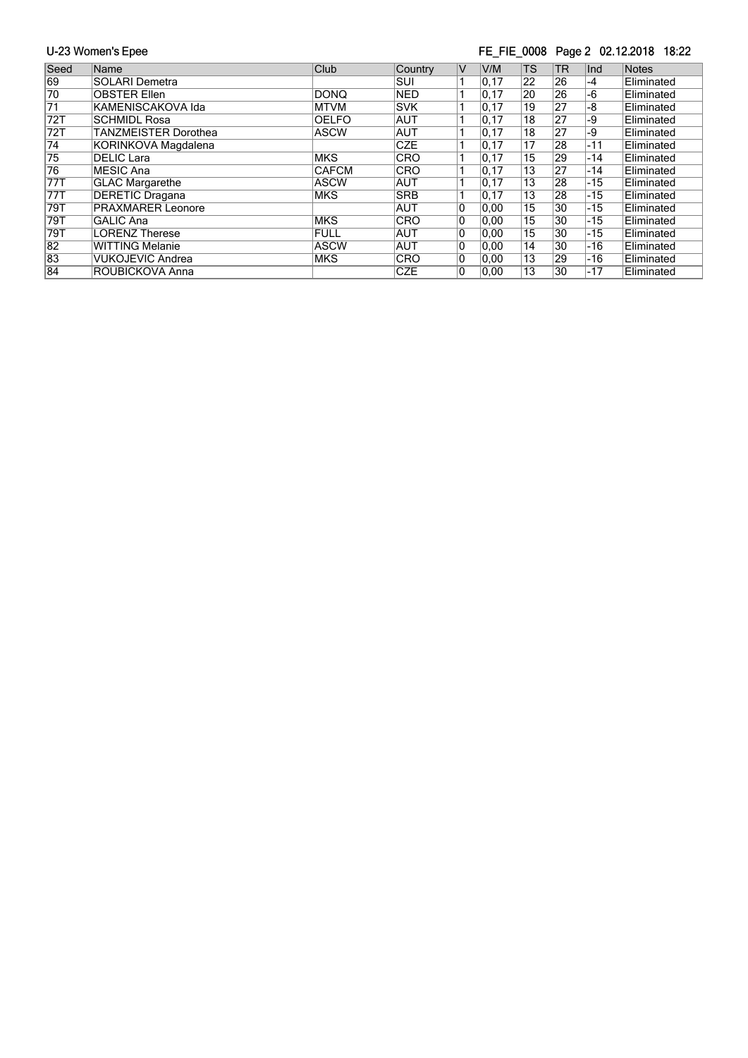#### FE\_FIE\_0008 Page 2 02.12.2018 18:22

| Seed            | Name                        | Club         | Country    | IV. | V/M   | <b>TS</b>       | <b>TR</b>       | Ind   | <b>Notes</b>      |
|-----------------|-----------------------------|--------------|------------|-----|-------|-----------------|-----------------|-------|-------------------|
| 69              | <b>SOLARI Demetra</b>       |              | SUI        |     | 0, 17 | 22              | 26              | $-4$  | Eliminated        |
| 70              | <b>OBSTER Ellen</b>         | DONQ         | <b>NED</b> |     | 0, 17 | 20              | 26              | $-6$  | Eliminated        |
| $\overline{71}$ | KAMENISCAKOVA Ida           | <b>MTVM</b>  | <b>SVK</b> |     | 0, 17 | 19              | 27              | -8    | Eliminated        |
| 72T             | <b>SCHMIDL Rosa</b>         | <b>OELFO</b> | <b>AUT</b> |     | 0.17  | 18              | 27              | -9    | Eliminated        |
| 72T             | <b>TANZMEISTER Dorothea</b> | <b>ASCW</b>  | <b>AUT</b> |     | 0, 17 | 18              | 27              | -9    | Eliminated        |
| $\overline{74}$ | KORINKOVA Magdalena         |              | <b>CZE</b> |     | 0, 17 | $1\overline{7}$ | 28              | $-11$ | Eliminated        |
| $\overline{75}$ | DELIC Lara                  | <b>MKS</b>   | <b>CRO</b> |     | 0, 17 | 15              | 29              | $-14$ | Eliminated        |
| $\overline{76}$ | MESIC Ana                   | <b>CAFCM</b> | <b>CRO</b> |     | 0, 17 | 13              | 27              | -14   | Eliminated        |
| 77T             | <b>GLAC Margarethe</b>      | <b>ASCW</b>  | <b>AUT</b> |     | 0.17  | 13              | 28              | $-15$ | Eliminated        |
| 77T             | <b>DERETIC Dragana</b>      | <b>MKS</b>   | <b>SRB</b> |     | 0.17  | 13              | 28              | $-15$ | Eliminated        |
| 79T             | <b>PRAXMARER Leonore</b>    |              | <b>AUT</b> |     | 0,00  | 15              | 30              | -15   | Eliminated        |
| 79T             | <b>GALIC Ana</b>            | <b>MKS</b>   | <b>CRO</b> | 10  | 0,00  | 15              | 30              | $-15$ | Eliminated        |
| 79T             | LORENZ Therese              | FULL         | <b>AUT</b> | 10  | 0,00  | 15              | 30              | $-15$ | Eliminated        |
| $\overline{82}$ | WITTING Melanie             | <b>ASCW</b>  | <b>AUT</b> | 10  | 0.00  | 14              | $\overline{30}$ | $-16$ | Eliminated        |
| 83              | <b>VUKOJEVIC Andrea</b>     | <b>MKS</b>   | <b>CRO</b> | 10  | 0.00  | 13              | 29              | -16   | Eliminated        |
| 84              | ROUBICKOVA Anna             |              | <b>CZE</b> | 10  | 0.00  | 13              | 30              | $-17$ | <b>Eliminated</b> |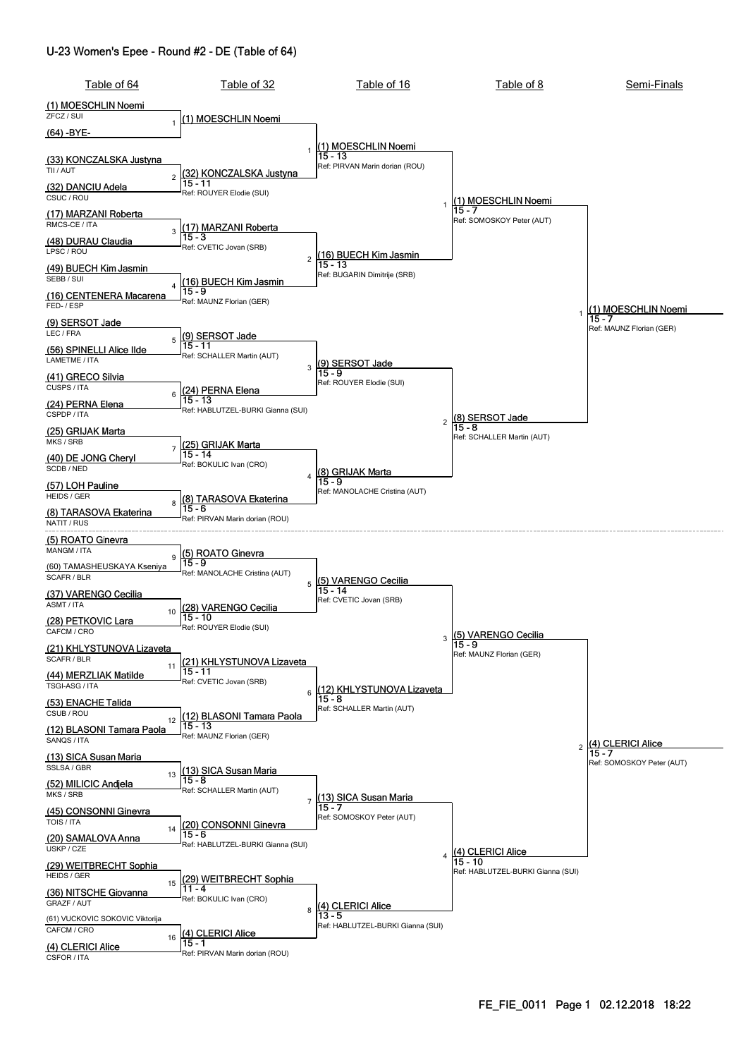#### U-23 Women's Epee - Round #2 - DE (Table of 64)

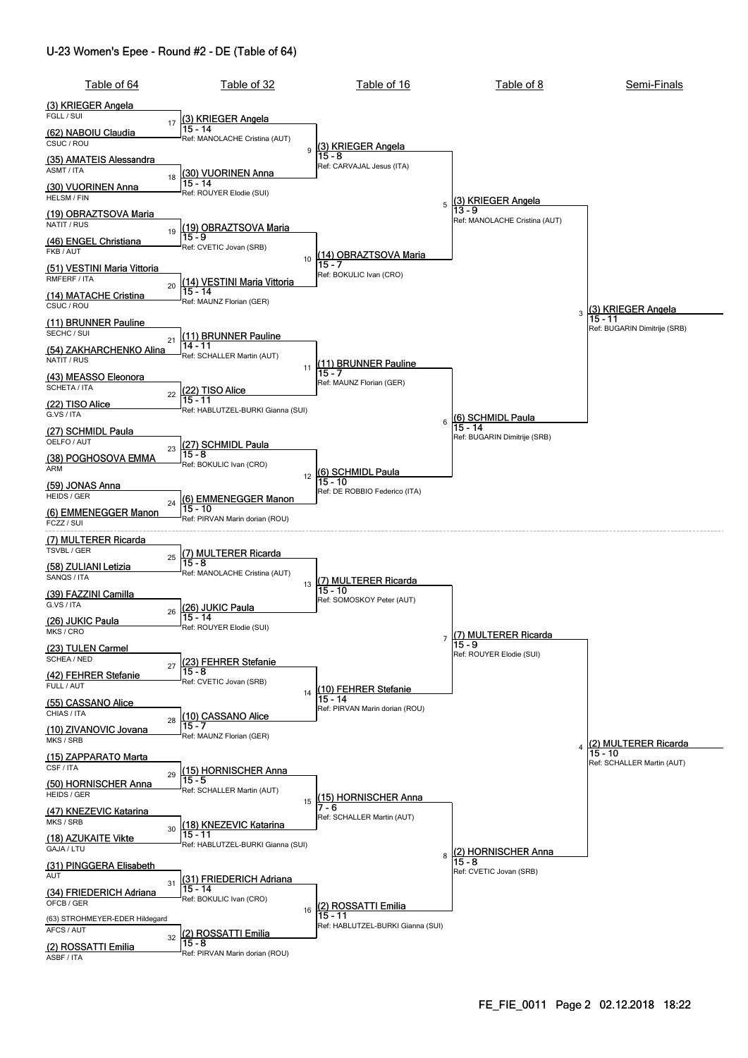#### U-23 Women's Epee - Round #2 - DE (Table of 64)

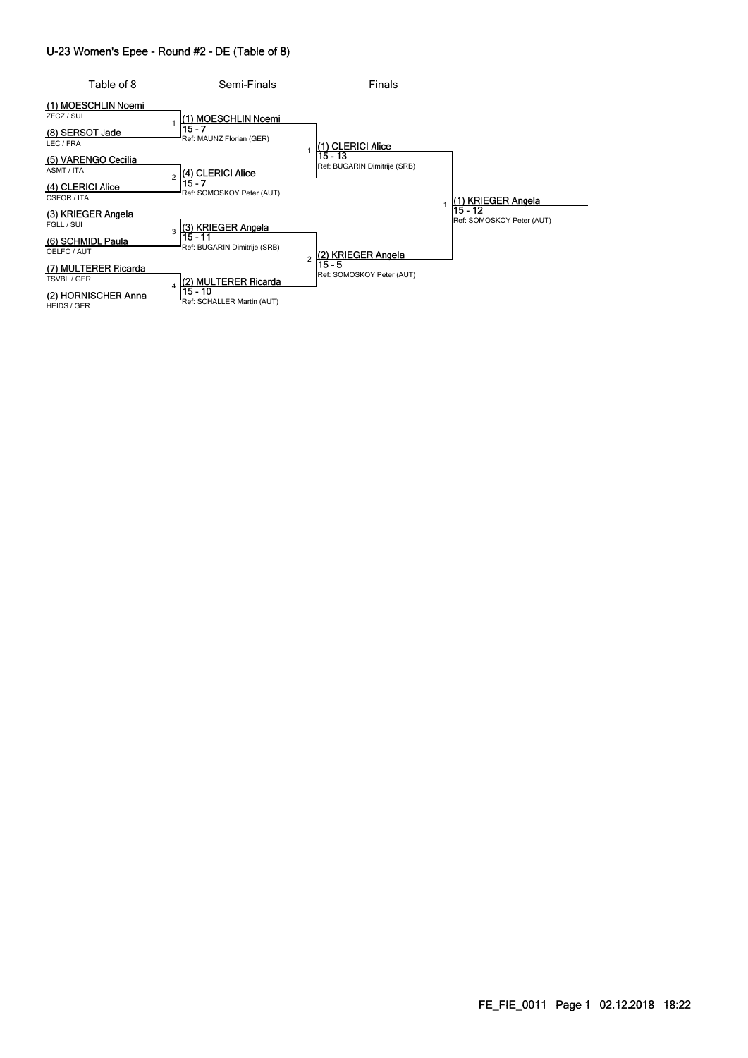#### U-23 Women's Epee - Round #2 - DE (Table of 8)

| Table of 8                                                                       | Semi-Finals                                                                | Finals                              |                              |
|----------------------------------------------------------------------------------|----------------------------------------------------------------------------|-------------------------------------|------------------------------|
| (1) MOESCHLIN Noemi<br>ZFCZ / SUI<br>(8) SERSOT Jade<br>LEC / FRA                | l(1) MOESCHLIN Noemi<br>15 - 7<br>Ref: MAUNZ Florian (GER)                 | (1) CLERICI Alice<br>15 - 13        |                              |
| (5) VARENGO Cecilia<br>ASMT/ITA<br>(4) CLERICI Alice<br>CSFOR / ITA              | (4) CLERICI Alice<br>$\overline{c}$<br>15 - 7<br>Ref: SOMOSKOY Peter (AUT) | Ref: BUGARIN Dimitrije (SRB)        | 1) KRIEGER Angela<br>15 - 12 |
| (3) KRIEGER Angela<br>FGLL / SUI<br>(6) SCHMIDL Paula<br>OELFO / AUT             | (3) KRIEGER Angela<br>3<br>15 - 11<br>Ref: BUGARIN Dimitrije (SRB)         | (2) KRIEGER Angela                  | Ref: SOMOSKOY Peter (AUT)    |
| (7) MULTERER Ricarda<br>TSVBL / GER<br>(2) HORNISCHER Anna<br><b>HEIDS / GER</b> | (2) MULTERER Ricarda<br>Δ<br>15 - 10<br>Ref: SCHALLER Martin (AUT)         | 15 - 5<br>Ref: SOMOSKOY Peter (AUT) |                              |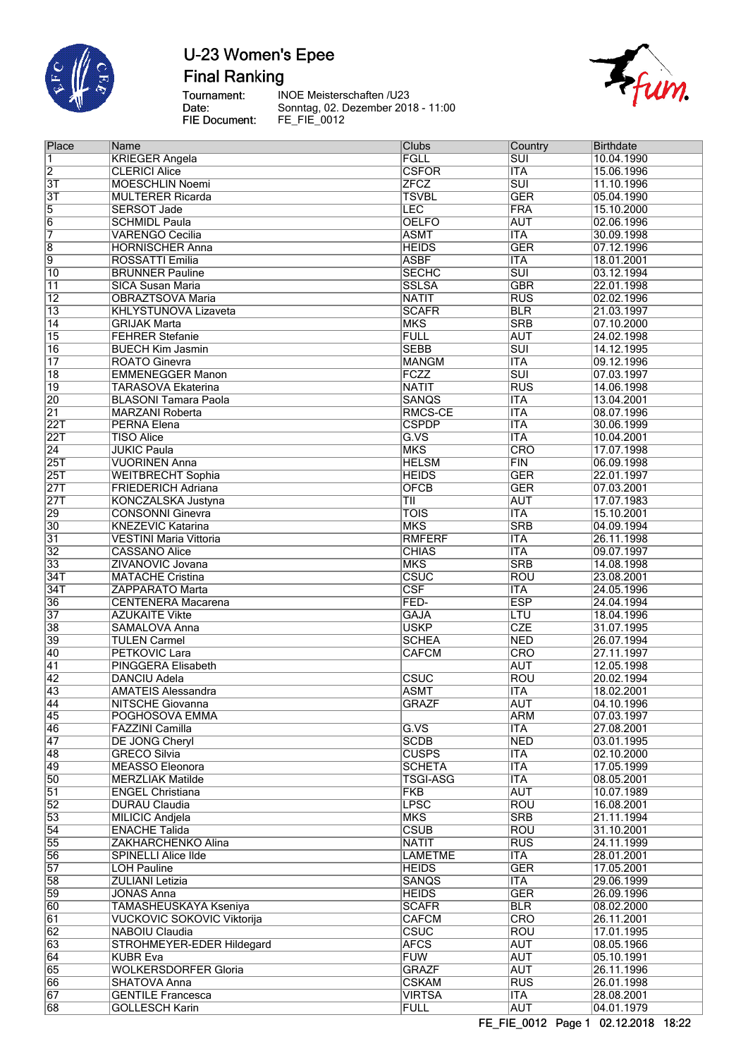

**Final Ranking** 

Tournament:<br>Date:<br>FIE Document:

**INOE Meisterschaften /U23** Sonntag, 02. Dezember 2018 - 11:00<br>FE\_FIE\_0012



| Place           | Name                              | Clubs                   | Country                   | <b>Birthdate</b> |
|-----------------|-----------------------------------|-------------------------|---------------------------|------------------|
| 1               | <b>KRIEGER Angela</b>             | FGLL                    | <b>SUI</b>                | 10.04.1990       |
| $\overline{2}$  | <b>CLERICI Alice</b>              | <b>CSFOR</b>            | <b>ITA</b>                | 15.06.1996       |
| $\overline{3T}$ | <b>MOESCHLIN Noemi</b>            | <b>ZFCZ</b>             | $\overline{\text{SUI}}$   | 11.10.1996       |
|                 |                                   |                         | <b>GER</b>                |                  |
| $\overline{3T}$ | <b>MULTERER Ricarda</b>           | <b>TSVBL</b>            |                           | 05.04.1990       |
| 5               | <b>SERSOT Jade</b>                | LEC                     | <b>FRA</b>                | 15.10.2000       |
| $\overline{6}$  | <b>SCHMIDL Paula</b>              | <b>OELFO</b>            | <b>AUT</b>                | 02.06.1996       |
| 7               | <b>VARENGO Cecilia</b>            | <b>ASMT</b>             | <b>ITA</b>                | 30.09.1998       |
| $\overline{8}$  | <b>HORNISCHER Anna</b>            | <b>HEIDS</b>            | <b>GER</b>                | 07.12.1996       |
|                 |                                   |                         |                           |                  |
| $\overline{9}$  | ROSSATTI Emilia                   | <b>ASBF</b>             | <b>ITA</b>                | 18.01.2001       |
| 10              | <b>BRUNNER Pauline</b>            | <b>SECHC</b>            | $\overline{\text{SUI}}$   | 03.12.1994       |
| 11              | <b>SICA Susan Maria</b>           | <b>SSLSA</b>            | <b>GBR</b>                | 22.01.1998       |
| $\overline{12}$ | <b>OBRAZTSOVA Maria</b>           | <b>NATIT</b>            | <b>RUS</b>                | 02.02.1996       |
|                 |                                   |                         |                           |                  |
| $\overline{13}$ | <b>KHLYSTUNOVA Lizaveta</b>       | <b>SCAFR</b>            | <b>BLR</b>                | 21.03.1997       |
| 14              | <b>GRIJAK Marta</b>               | <b>MKS</b>              | <b>SRB</b>                | 07.10.2000       |
| $\overline{15}$ | <b>FEHRER Stefanie</b>            | <b>FULL</b>             | <b>AUT</b>                | 24.02.1998       |
| $\overline{16}$ | <b>BUECH Kim Jasmin</b>           | <b>SEBB</b>             | $\overline{\text{SUI}}$   | 14.12.1995       |
|                 |                                   |                         |                           |                  |
| $\overline{17}$ | ROATO Ginevra                     | <b>MANGM</b>            | <b>ITA</b>                | 09.12.1996       |
| $\overline{18}$ | <b>EMMENEGGER Manon</b>           | FCZZ                    | $\overline{\text{SUI}}$   | 07.03.1997       |
| 19              | <b>TARASOVA Ekaterina</b>         | <b>NATIT</b>            | <b>RUS</b>                | 14.06.1998       |
| $\overline{20}$ | <b>BLASONI Tamara Paola</b>       | <b>SANQS</b>            | <b>ITA</b>                | 13.04.2001       |
|                 |                                   |                         |                           |                  |
| $\overline{21}$ | <b>MARZANI Roberta</b>            | RMCS-CE                 | $\overline{\mathsf{ITA}}$ | 08.07.1996       |
| 22T             | <b>PERNA Elena</b>                | <b>CSPDP</b>            | <b>ITA</b>                | 30.06.1999       |
| 22T             | <b>TISO Alice</b>                 | G.VS                    | <b>ITA</b>                | 10.04.2001       |
| $\overline{24}$ | <b>JUKIC Paula</b>                | <b>MKS</b>              | CRO                       | 17.07.1998       |
|                 |                                   |                         |                           |                  |
| 25T             | <b>VUORINEN Anna</b>              | <b>HELSM</b>            | FIN                       | 06.09.1998       |
| 25T             | <b>WEITBRECHT Sophia</b>          | <b>HEIDS</b>            | <b>GER</b>                | 22.01.1997       |
| 27T             | <b>FRIEDERICH Adriana</b>         | <b>OFCB</b>             | <b>GER</b>                | 07.03.2001       |
| 27T             | KONCZALSKA Justyna                | TII                     | <b>AUT</b>                | 17.07.1983       |
|                 |                                   |                         |                           |                  |
| $\overline{29}$ | <b>CONSONNI Ginevra</b>           | <b>TOIS</b>             | <b>ITA</b>                | 15.10.2001       |
| $\overline{30}$ | <b>KNEZEVIC Katarina</b>          | <b>MKS</b>              | <b>SRB</b>                | 04.09.1994       |
| $\overline{31}$ | <b>VESTINI Maria Vittoria</b>     | <b>RMFERF</b>           | <b>ITA</b>                | 26.11.1998       |
| $\overline{32}$ | <b>CASSANO Alice</b>              | <b>CHIAS</b>            | ITA                       | 09.07.1997       |
|                 |                                   | <b>MKS</b>              | <b>SRB</b>                |                  |
| $\overline{33}$ | ZIVANOVIC Jovana                  |                         |                           | 14.08.1998       |
| 34T             | <b>MATACHE Cristina</b>           | csuc                    | <b>ROU</b>                | 23.08.2001       |
| 34T             | <b>ZAPPARATO Marta</b>            | $\overline{\text{CSF}}$ | <b>ITA</b>                | 24.05.1996       |
| $\overline{36}$ | <b>CENTENERA Macarena</b>         | FED-                    | <b>ESP</b>                | 24.04.1994       |
| $\overline{37}$ | <b>AZUKAITE Vikte</b>             | <b>GAJA</b>             | LTU                       | 18.04.1996       |
|                 |                                   |                         |                           |                  |
| $\overline{38}$ | SAMALOVA Anna                     | <b>USKP</b>             | <b>CZE</b>                | 31.07.1995       |
| 39              | <b>TULEN Carmel</b>               | <b>SCHEA</b>            | <b>NED</b>                | 26.07.1994       |
| 40              | <b>PETKOVIC Lara</b>              | <b>CAFCM</b>            | $\overline{\text{CRO}}$   | 27.11.1997       |
| $\overline{41}$ | PINGGERA Elisabeth                |                         | <b>AUT</b>                | 12.05.1998       |
|                 |                                   |                         |                           |                  |
| $\overline{42}$ | <b>DANCIU Adela</b>               | CSUC                    | <b>ROU</b>                | 20.02.1994       |
| $\overline{43}$ | <b>AMATEIS Alessandra</b>         | <b>ASMT</b>             | <b>ITA</b>                | 18.02.2001       |
| 44              | <b>NITSCHE Giovanna</b>           | <b>GRAZF</b>            | <b>AUT</b>                | 04.10.1996       |
| 45              | POGHOSOVA EMMA                    |                         | <b>ARM</b>                | 07.03.1997       |
|                 |                                   |                         |                           |                  |
| 46              | FAZZINI Camilla                   | G.VS                    | <b>ITA</b>                | 27.08.2001       |
| 47              | DE JONG Cheryl                    | <b>SCDB</b>             | <b>NED</b>                | 03.01.1995       |
| 48              | <b>GRECO Silvia</b>               | <b>CUSPS</b>            | <b>ITA</b>                | 02.10.2000       |
| 49              | <b>MEASSO Eleonora</b>            | <b>SCHETA</b>           | <b>ITA</b>                | 17.05.1999       |
| $\overline{50}$ | <b>MERZLIAK Matilde</b>           | <b>TSGI-ASG</b>         | <b>ITA</b>                |                  |
|                 |                                   |                         |                           | 08.05.2001       |
| $\overline{51}$ | <b>ENGEL Christiana</b>           | <b>FKB</b>              | <b>AUT</b>                | 10.07.1989       |
| $\overline{52}$ | <b>DURAU Claudia</b>              | <b>LPSC</b>             | <b>ROU</b>                | 16.08.2001       |
| $\overline{53}$ | <b>MILICIC Andjela</b>            | <b>MKS</b>              | <b>SRB</b>                | 21.11.1994       |
| $\overline{54}$ | <b>ENACHE Talida</b>              | <b>CSUB</b>             | <b>ROU</b>                | 31.10.2001       |
|                 |                                   |                         |                           |                  |
| $\overline{55}$ | ZAKHARCHENKO Alina                | <b>NATIT</b>            | RUS                       | 24.11.1999       |
| 56              | <b>SPINELLI Alice Ilde</b>        | <b>LAMETME</b>          | <b>ITA</b>                | 28.01.2001       |
| $\overline{57}$ | <b>LOH Pauline</b>                | <b>HEIDS</b>            | <b>GER</b>                | 17.05.2001       |
| $\overline{58}$ | <b>ZULIANI Letizia</b>            | <b>SANQS</b>            | <b>ITA</b>                | 29.06.1999       |
|                 |                                   |                         |                           |                  |
| 59              | <b>JONAS Anna</b>                 | <b>HEIDS</b>            | <b>GER</b>                | 26.09.1996       |
| $\overline{60}$ | TAMASHEUSKAYA Kseniya             | <b>SCAFR</b>            | <b>BLR</b>                | 08.02.2000       |
| $\overline{61}$ | <b>VUCKOVIC SOKOVIC Viktorija</b> | <b>CAFCM</b>            | CRO                       | 26.11.2001       |
| 62              |                                   | <b>CSUC</b>             | <b>ROU</b>                | 17.01.1995       |
|                 | NABOIU Claudia                    |                         |                           |                  |
| 63              | STROHMEYER-EDER Hildegard         | <b>AFCS</b>             | <b>AUT</b>                | 08.05.1966       |
| 64              | <b>KUBR Eva</b>                   | <b>FUW</b>              | <b>AUT</b>                | 05.10.1991       |
| 65              | <b>WOLKERSDORFER Gloria</b>       | <b>GRAZF</b>            | <b>AUT</b>                | 26.11.1996       |
| 66              | SHATOVA Anna                      | <b>CSKAM</b>            | <b>RUS</b>                | 26.01.1998       |
|                 |                                   |                         |                           |                  |
| 67              | <b>GENTILE Francesca</b>          | <b>VIRTSA</b>           | $\overline{\mathsf{ITA}}$ | 28.08.2001       |
| $\overline{68}$ | <b>GOLLESCH Karin</b>             | <b>FULL</b>             | <b>AUT</b>                | 04.01.1979       |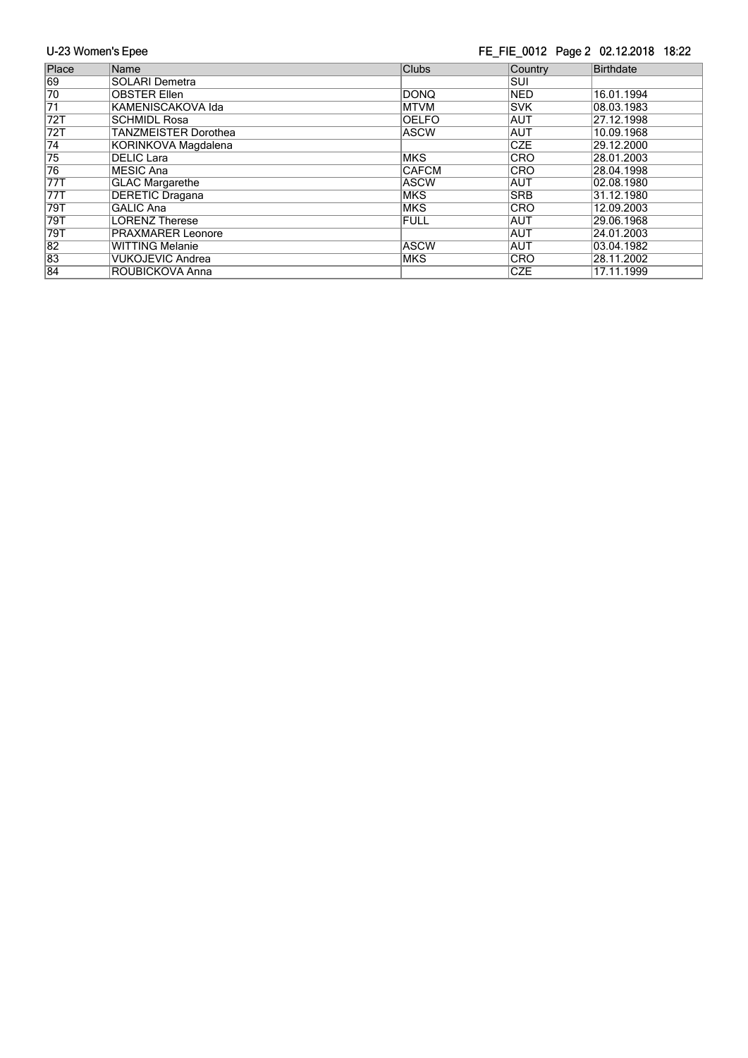#### FE\_FIE\_0012 Page 2 02.12.2018 18:22

| Place           | Name                        | <b>Clubs</b> | Country    | Birthdate  |
|-----------------|-----------------------------|--------------|------------|------------|
| 69              | <b>SOLARI Demetra</b>       |              | Isui       |            |
| 70              | <b>OBSTER Ellen</b>         | <b>DONQ</b>  | <b>NED</b> | 16.01.1994 |
| $\overline{71}$ | KAMENISCAKOVA Ida           | <b>MTVM</b>  | <b>SVK</b> | 08.03.1983 |
| 72T             | SCHMIDL Rosa                | <b>OELFO</b> | <b>AUT</b> | 27.12.1998 |
| 72T             | <b>TANZMEISTER Dorothea</b> | <b>ASCW</b>  | <b>AUT</b> | 10.09.1968 |
| $\overline{74}$ | KORINKOVA Magdalena         |              | <b>CZE</b> | 29.12.2000 |
| 75              | DELIC Lara                  | <b>MKS</b>   | <b>CRO</b> | 28.01.2003 |
| 76              | MESIC Ana                   | <b>CAFCM</b> | <b>CRO</b> | 28.04.1998 |
| 77T             | <b>GLAC Margarethe</b>      | <b>ASCW</b>  | <b>AUT</b> | 02.08.1980 |
| 77T             | <b>DERETIC Dragana</b>      | <b>MKS</b>   | <b>SRB</b> | 31.12.1980 |
| 79T             | <b>GALIC Ana</b>            | <b>MKS</b>   | <b>CRO</b> | 12.09.2003 |
| 79T             | <b>LORENZ Therese</b>       | <b>FULL</b>  | IAUT       | 29.06.1968 |
| 79T             | <b>PRAXMARER Leonore</b>    |              | <b>AUT</b> | 24.01.2003 |
| $\overline{82}$ | <b>WITTING Melanie</b>      | <b>ASCW</b>  | <b>AUT</b> | 03.04.1982 |
| 83              | <b>VUKOJEVIC Andrea</b>     | <b>MKS</b>   | <b>CRO</b> | 28.11.2002 |
| 84              | ROUBICKOVA Anna             |              | <b>CZE</b> | 17.11.1999 |